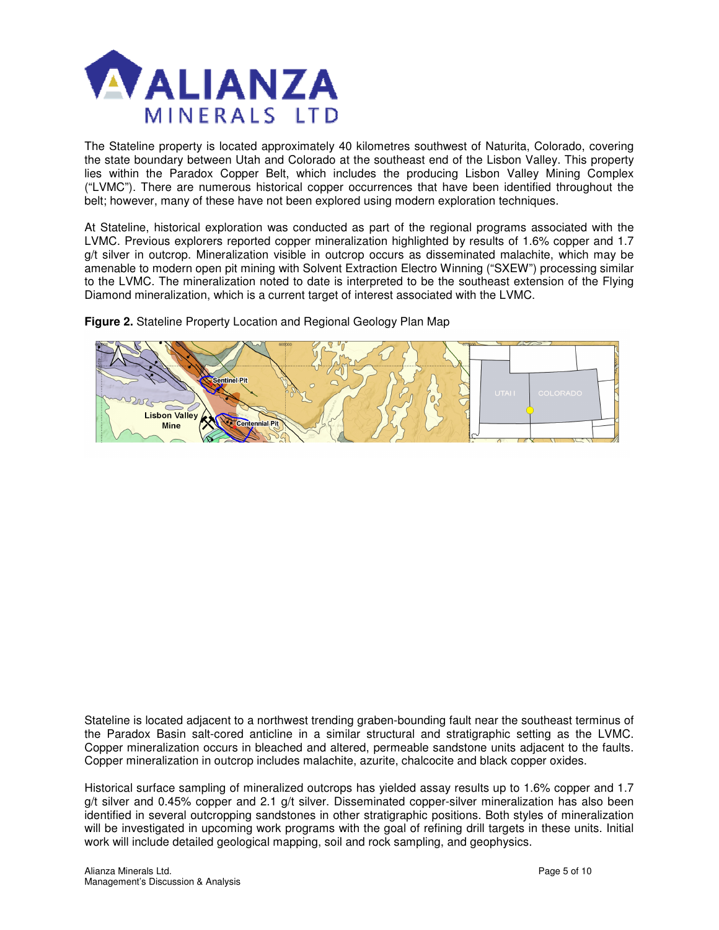

The Stateline property is located approximately 40 kilometres southwest of Naturita, Colorado, covering the state boundary between Utah and Colorado at the southeast end of the Lisbon Valley. This property lies within the Paradox Copper Belt, which includes the producing Lisbon Valley Mining Complex ("LVMC"). There are numerous historical copper occurrences that have been identified throughout the belt; however, many of these have not been explored using modern exploration techniques.

At Stateline, historical exploration was conducted as part of the regional programs associated with the LVMC. Previous explorers reported copper mineralization highlighted by results of 1.6% copper and 1.7 g/t silver in outcrop. Mineralization visible in outcrop occurs as disseminated malachite, which may be amenable to modern open pit mining with Solvent Extraction Electro Winning ("SXEW") processing similar to the LVMC. The mineralization noted to date is interpreted to be the southeast extension of the Flying Diamond mineralization, which is a current target of interest associated with the LVMC.

**Figure 2.** Stateline Property Location and Regional Geology Plan Map



Stateline is located adjacent to a northwest trending graben-bounding fault near the southeast terminus of the Paradox Basin salt-cored anticline in a similar structural and stratigraphic setting as the LVMC. Copper mineralization occurs in bleached and altered, permeable sandstone units adjacent to the faults. Copper mineralization in outcrop includes malachite, azurite, chalcocite and black copper oxides.

Historical surface sampling of mineralized outcrops has yielded assay results up to 1.6% copper and 1.7 g/t silver and 0.45% copper and 2.1 g/t silver. Disseminated copper-silver mineralization has also been identified in several outcropping sandstones in other stratigraphic positions. Both styles of mineralization will be investigated in upcoming work programs with the goal of refining drill targets in these units. Initial work will include detailed geological mapping, soil and rock sampling, and geophysics.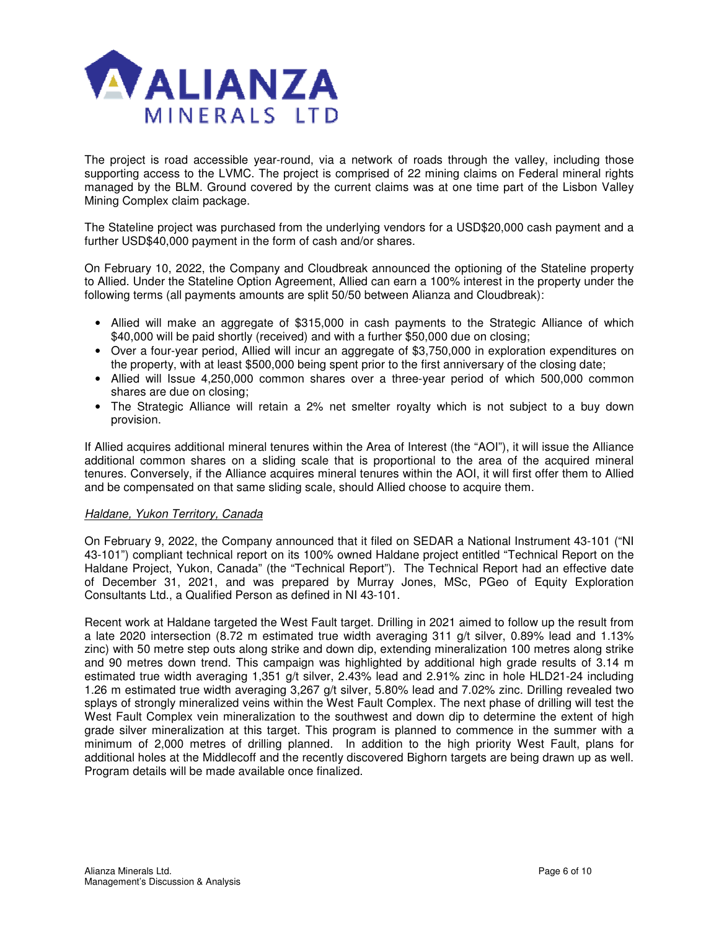

The project is road accessible year-round, via a network of roads through the valley, including those supporting access to the LVMC. The project is comprised of 22 mining claims on Federal mineral rights managed by the BLM. Ground covered by the current claims was at one time part of the Lisbon Valley Mining Complex claim package.

The Stateline project was purchased from the underlying vendors for a USD\$20,000 cash payment and a further USD\$40,000 payment in the form of cash and/or shares.

On February 10, 2022, the Company and Cloudbreak announced the optioning of the Stateline property to Allied. Under the Stateline Option Agreement, Allied can earn a 100% interest in the property under the following terms (all payments amounts are split 50/50 between Alianza and Cloudbreak):

- Allied will make an aggregate of \$315,000 in cash payments to the Strategic Alliance of which \$40,000 will be paid shortly (received) and with a further \$50,000 due on closing;
- Over a four-year period, Allied will incur an aggregate of \$3,750,000 in exploration expenditures on the property, with at least \$500,000 being spent prior to the first anniversary of the closing date;
- Allied will Issue 4,250,000 common shares over a three-year period of which 500,000 common shares are due on closing;
- The Strategic Alliance will retain a 2% net smelter royalty which is not subject to a buy down provision.

If Allied acquires additional mineral tenures within the Area of Interest (the "AOI"), it will issue the Alliance additional common shares on a sliding scale that is proportional to the area of the acquired mineral tenures. Conversely, if the Alliance acquires mineral tenures within the AOI, it will first offer them to Allied and be compensated on that same sliding scale, should Allied choose to acquire them.

## Haldane, Yukon Territory, Canada

On February 9, 2022, the Company announced that it filed on SEDAR a National Instrument 43-101 ("NI 43-101") compliant technical report on its 100% owned Haldane project entitled "Technical Report on the Haldane Project, Yukon, Canada" (the "Technical Report"). The Technical Report had an effective date of December 31, 2021, and was prepared by Murray Jones, MSc, PGeo of Equity Exploration Consultants Ltd., a Qualified Person as defined in NI 43-101.

Recent work at Haldane targeted the West Fault target. Drilling in 2021 aimed to follow up the result from a late 2020 intersection (8.72 m estimated true width averaging 311 g/t silver, 0.89% lead and 1.13% zinc) with 50 metre step outs along strike and down dip, extending mineralization 100 metres along strike and 90 metres down trend. This campaign was highlighted by additional high grade results of 3.14 m estimated true width averaging 1,351 g/t silver, 2.43% lead and 2.91% zinc in hole HLD21-24 including 1.26 m estimated true width averaging 3,267 g/t silver, 5.80% lead and 7.02% zinc. Drilling revealed two splays of strongly mineralized veins within the West Fault Complex. The next phase of drilling will test the West Fault Complex vein mineralization to the southwest and down dip to determine the extent of high grade silver mineralization at this target. This program is planned to commence in the summer with a minimum of 2,000 metres of drilling planned. In addition to the high priority West Fault, plans for additional holes at the Middlecoff and the recently discovered Bighorn targets are being drawn up as well. Program details will be made available once finalized.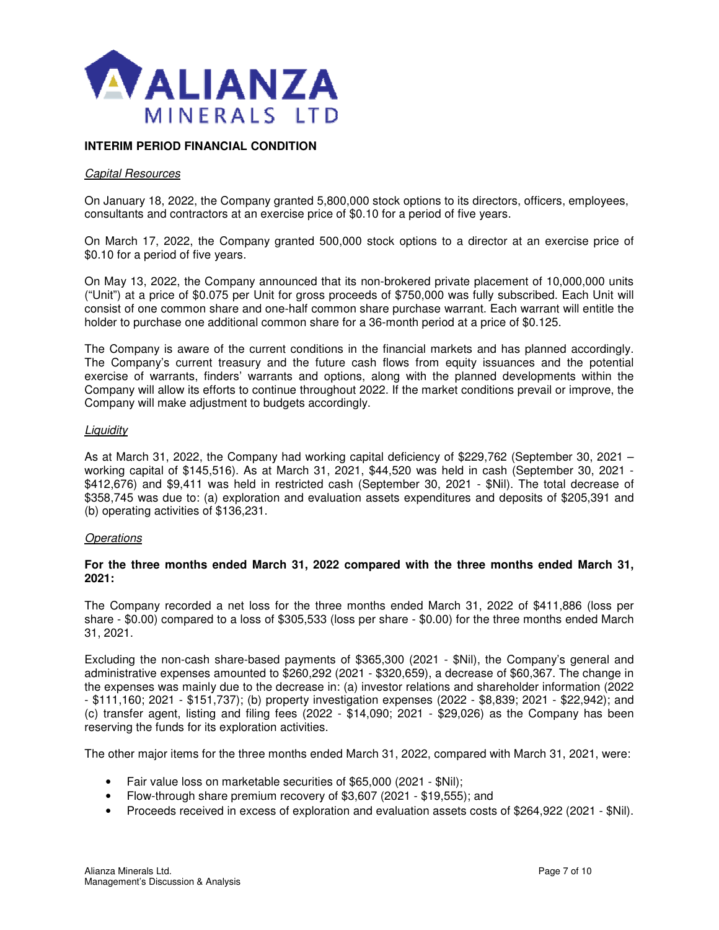

## **INTERIM PERIOD FINANCIAL CONDITION**

#### Capital Resources

On January 18, 2022, the Company granted 5,800,000 stock options to its directors, officers, employees, consultants and contractors at an exercise price of \$0.10 for a period of five years.

On March 17, 2022, the Company granted 500,000 stock options to a director at an exercise price of \$0.10 for a period of five years.

On May 13, 2022, the Company announced that its non-brokered private placement of 10,000,000 units ("Unit") at a price of \$0.075 per Unit for gross proceeds of \$750,000 was fully subscribed. Each Unit will consist of one common share and one-half common share purchase warrant. Each warrant will entitle the holder to purchase one additional common share for a 36-month period at a price of \$0.125.

The Company is aware of the current conditions in the financial markets and has planned accordingly. The Company's current treasury and the future cash flows from equity issuances and the potential exercise of warrants, finders' warrants and options, along with the planned developments within the Company will allow its efforts to continue throughout 2022. If the market conditions prevail or improve, the Company will make adjustment to budgets accordingly.

#### **Liquidity**

As at March 31, 2022, the Company had working capital deficiency of \$229,762 (September 30, 2021 – working capital of \$145,516). As at March 31, 2021, \$44,520 was held in cash (September 30, 2021 - \$412,676) and \$9,411 was held in restricted cash (September 30, 2021 - \$Nil). The total decrease of \$358,745 was due to: (a) exploration and evaluation assets expenditures and deposits of \$205,391 and (b) operating activities of \$136,231.

## **Operations**

## **For the three months ended March 31, 2022 compared with the three months ended March 31, 2021:**

The Company recorded a net loss for the three months ended March 31, 2022 of \$411,886 (loss per share - \$0.00) compared to a loss of \$305,533 (loss per share - \$0.00) for the three months ended March 31, 2021.

Excluding the non-cash share-based payments of \$365,300 (2021 - \$Nil), the Company's general and administrative expenses amounted to \$260,292 (2021 - \$320,659), a decrease of \$60,367. The change in the expenses was mainly due to the decrease in: (a) investor relations and shareholder information (2022 - \$111,160; 2021 - \$151,737); (b) property investigation expenses (2022 - \$8,839; 2021 - \$22,942); and (c) transfer agent, listing and filing fees (2022 - \$14,090; 2021 - \$29,026) as the Company has been reserving the funds for its exploration activities.

The other major items for the three months ended March 31, 2022, compared with March 31, 2021, were:

- Fair value loss on marketable securities of \$65,000 (2021 \$Nil);
- Flow-through share premium recovery of \$3,607 (2021 \$19,555); and
- Proceeds received in excess of exploration and evaluation assets costs of \$264,922 (2021 \$Nil).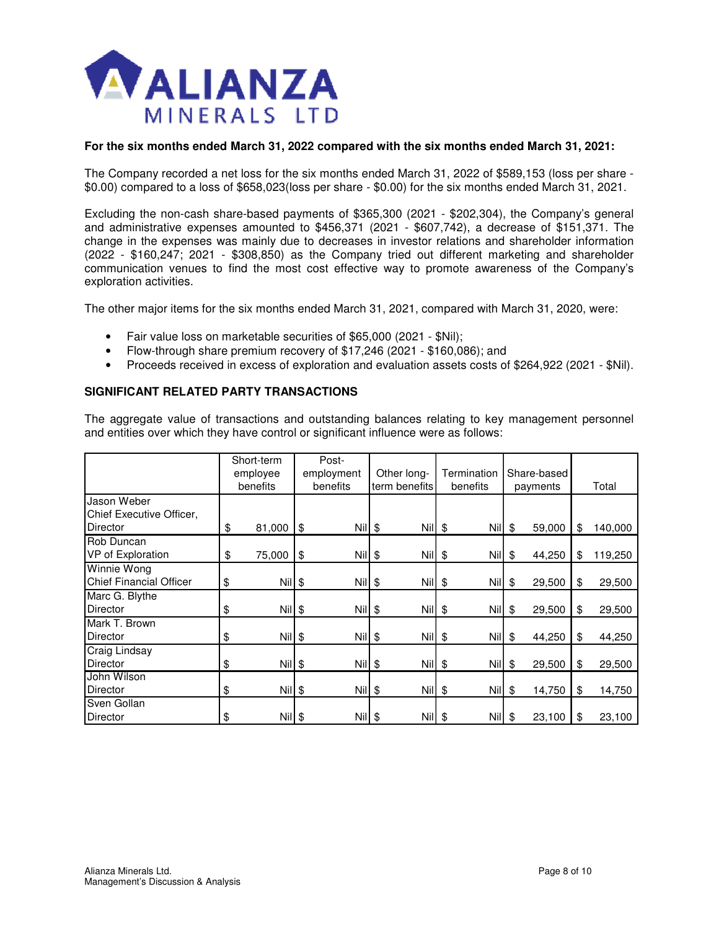

## **For the six months ended March 31, 2022 compared with the six months ended March 31, 2021:**

The Company recorded a net loss for the six months ended March 31, 2022 of \$589,153 (loss per share - \$0.00) compared to a loss of \$658,023(loss per share - \$0.00) for the six months ended March 31, 2021.

Excluding the non-cash share-based payments of \$365,300 (2021 - \$202,304), the Company's general and administrative expenses amounted to \$456,371 (2021 - \$607,742), a decrease of \$151,371. The change in the expenses was mainly due to decreases in investor relations and shareholder information (2022 - \$160,247; 2021 - \$308,850) as the Company tried out different marketing and shareholder communication venues to find the most cost effective way to promote awareness of the Company's exploration activities.

The other major items for the six months ended March 31, 2021, compared with March 31, 2020, were:

- Fair value loss on marketable securities of \$65,000 (2021 \$Nil);
- Flow-through share premium recovery of \$17,246 (2021 \$160,086); and
- Proceeds received in excess of exploration and evaluation assets costs of \$264,922 (2021 \$Nil).

#### **SIGNIFICANT RELATED PARTY TRANSACTIONS**

The aggregate value of transactions and outstanding balances relating to key management personnel and entities over which they have control or significant influence were as follows:

|                                | Short-term     | Post-          |               |             |              |               |
|--------------------------------|----------------|----------------|---------------|-------------|--------------|---------------|
|                                | employee       | employment     | Other long-   | Termination | Share-based  |               |
|                                | benefits       | benefits       | term benefits | benefits    | payments     | Total         |
| Jason Weber                    |                |                |               |             |              |               |
| Chief Executive Officer,       |                |                |               |             |              |               |
| Director                       | \$<br>81,000   | \$<br>$Nil$ \$ | $Nil$ \$      | <b>Nil</b>  | \$<br>59,000 | \$<br>140,000 |
| Rob Duncan                     |                |                |               |             |              |               |
| VP of Exploration              | \$<br>75,000   | \$<br>$Nil$ \$ | $Nil$ \$      | $Nil$ \$    | 44,250       | \$<br>119,250 |
| Winnie Wong                    |                |                |               |             |              |               |
| <b>Chief Financial Officer</b> | \$<br>$Nil$ \$ | $Nil$ \$       | $Nil$ \$      | $Nil$ \$    | 29,500       | \$<br>29,500  |
| Marc G. Blythe                 |                |                |               |             |              |               |
| <b>Director</b>                | \$<br>$Nil$ \$ | $Nil$ \$       | $Nil$ \$      | $Nil$ \$    | 29,500       | \$<br>29,500  |
| Mark T. Brown                  |                |                |               |             |              |               |
| Director                       | \$<br>Nil \$   | $Nii$ \$       | $Nil$ \$      | $Nil$ \$    | 44,250       | \$<br>44,250  |
| Craig Lindsay                  |                |                |               |             |              |               |
| <b>Director</b>                | \$<br>$Nil$ \$ | $Nil$ \$       | $Nil$ \$      | $Nill$ \$   | 29,500       | \$<br>29,500  |
| John Wilson                    |                |                |               |             |              |               |
| <b>Director</b>                | \$<br>Nil \$   | $Nil$ \$       | $Nil$ \$      | $Nil$ \$    | 14,750       | \$<br>14,750  |
| Sven Gollan                    |                |                |               |             |              |               |
| <b>Director</b>                | \$<br>Nil \$   | $Nil$ \$       | $Nil$ \$      | $Nii$ \$    | 23,100       | \$<br>23,100  |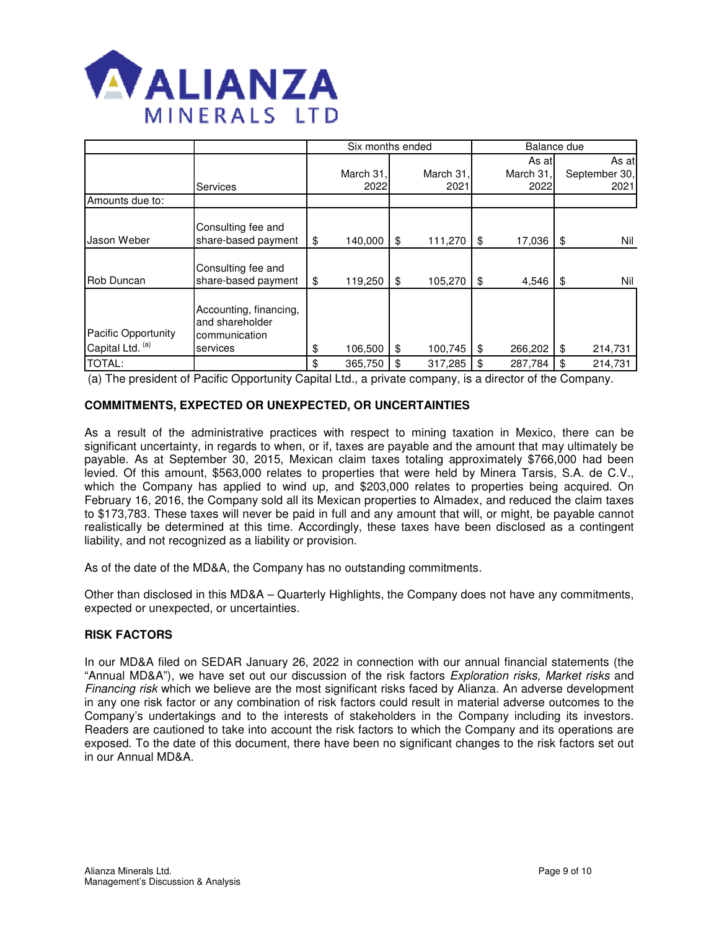

|                                                |                                                                        | Six months ended  |    | Balance due       |                             |    |                                |
|------------------------------------------------|------------------------------------------------------------------------|-------------------|----|-------------------|-----------------------------|----|--------------------------------|
|                                                | <b>Services</b>                                                        | March 31,<br>2022 |    | March 31,<br>2021 | As atl<br>March 31,<br>2022 |    | As at<br>September 30,<br>2021 |
| Amounts due to:                                |                                                                        |                   |    |                   |                             |    |                                |
| Jason Weber                                    | Consulting fee and<br>share-based payment                              | \$<br>140,000     | \$ | 111,270           | \$<br>17,036                | \$ | Nil                            |
| Rob Duncan                                     | Consulting fee and<br>share-based payment                              | \$<br>119,250     | \$ | 105,270           | \$<br>4,546                 | \$ | Nil                            |
| <b>Pacific Opportunity</b><br>Capital Ltd. (a) | Accounting, financing,<br>and shareholder<br>communication<br>services | \$<br>106,500     | \$ | 100,745           | \$<br>266,202               | \$ | 214,731                        |
| <b>TOTAL:</b>                                  |                                                                        | \$<br>365,750     | \$ | 317,285           | \$<br>287,784               | \$ | 214,731                        |

(a) The president of Pacific Opportunity Capital Ltd., a private company, is a director of the Company.

## **COMMITMENTS, EXPECTED OR UNEXPECTED, OR UNCERTAINTIES**

As a result of the administrative practices with respect to mining taxation in Mexico, there can be significant uncertainty, in regards to when, or if, taxes are payable and the amount that may ultimately be payable. As at September 30, 2015, Mexican claim taxes totaling approximately \$766,000 had been levied. Of this amount, \$563,000 relates to properties that were held by Minera Tarsis, S.A. de C.V., which the Company has applied to wind up, and \$203,000 relates to properties being acquired. On February 16, 2016, the Company sold all its Mexican properties to Almadex, and reduced the claim taxes to \$173,783. These taxes will never be paid in full and any amount that will, or might, be payable cannot realistically be determined at this time. Accordingly, these taxes have been disclosed as a contingent liability, and not recognized as a liability or provision.

As of the date of the MD&A, the Company has no outstanding commitments.

Other than disclosed in this MD&A – Quarterly Highlights, the Company does not have any commitments, expected or unexpected, or uncertainties.

## **RISK FACTORS**

In our MD&A filed on SEDAR January 26, 2022 in connection with our annual financial statements (the "Annual MD&A"), we have set out our discussion of the risk factors *Exploration risks, Market risks* and Financing risk which we believe are the most significant risks faced by Alianza. An adverse development in any one risk factor or any combination of risk factors could result in material adverse outcomes to the Company's undertakings and to the interests of stakeholders in the Company including its investors. Readers are cautioned to take into account the risk factors to which the Company and its operations are exposed. To the date of this document, there have been no significant changes to the risk factors set out in our Annual MD&A.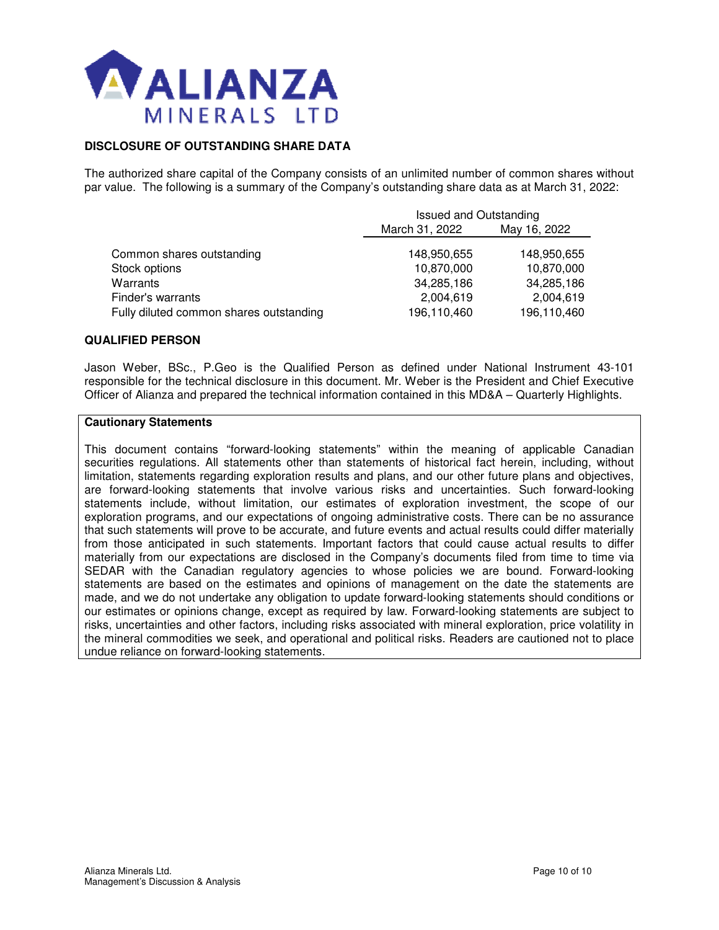

## **DISCLOSURE OF OUTSTANDING SHARE DATA**

The authorized share capital of the Company consists of an unlimited number of common shares without par value. The following is a summary of the Company's outstanding share data as at March 31, 2022:

|                                         | <b>Issued and Outstanding</b> |              |  |  |  |
|-----------------------------------------|-------------------------------|--------------|--|--|--|
|                                         | March 31, 2022                | May 16, 2022 |  |  |  |
| Common shares outstanding               | 148,950,655                   | 148,950,655  |  |  |  |
| Stock options                           | 10,870,000                    | 10,870,000   |  |  |  |
| Warrants                                | 34,285,186                    | 34,285,186   |  |  |  |
| Finder's warrants                       | 2,004,619                     | 2,004,619    |  |  |  |
| Fully diluted common shares outstanding | 196,110,460                   | 196,110,460  |  |  |  |

#### **QUALIFIED PERSON**

Jason Weber, BSc., P.Geo is the Qualified Person as defined under National Instrument 43-101 responsible for the technical disclosure in this document. Mr. Weber is the President and Chief Executive Officer of Alianza and prepared the technical information contained in this MD&A – Quarterly Highlights.

#### **Cautionary Statements**

This document contains "forward-looking statements" within the meaning of applicable Canadian securities regulations. All statements other than statements of historical fact herein, including, without limitation, statements regarding exploration results and plans, and our other future plans and objectives, are forward-looking statements that involve various risks and uncertainties. Such forward-looking statements include, without limitation, our estimates of exploration investment, the scope of our exploration programs, and our expectations of ongoing administrative costs. There can be no assurance that such statements will prove to be accurate, and future events and actual results could differ materially from those anticipated in such statements. Important factors that could cause actual results to differ materially from our expectations are disclosed in the Company's documents filed from time to time via SEDAR with the Canadian regulatory agencies to whose policies we are bound. Forward-looking statements are based on the estimates and opinions of management on the date the statements are made, and we do not undertake any obligation to update forward-looking statements should conditions or our estimates or opinions change, except as required by law. Forward-looking statements are subject to risks, uncertainties and other factors, including risks associated with mineral exploration, price volatility in the mineral commodities we seek, and operational and political risks. Readers are cautioned not to place undue reliance on forward-looking statements.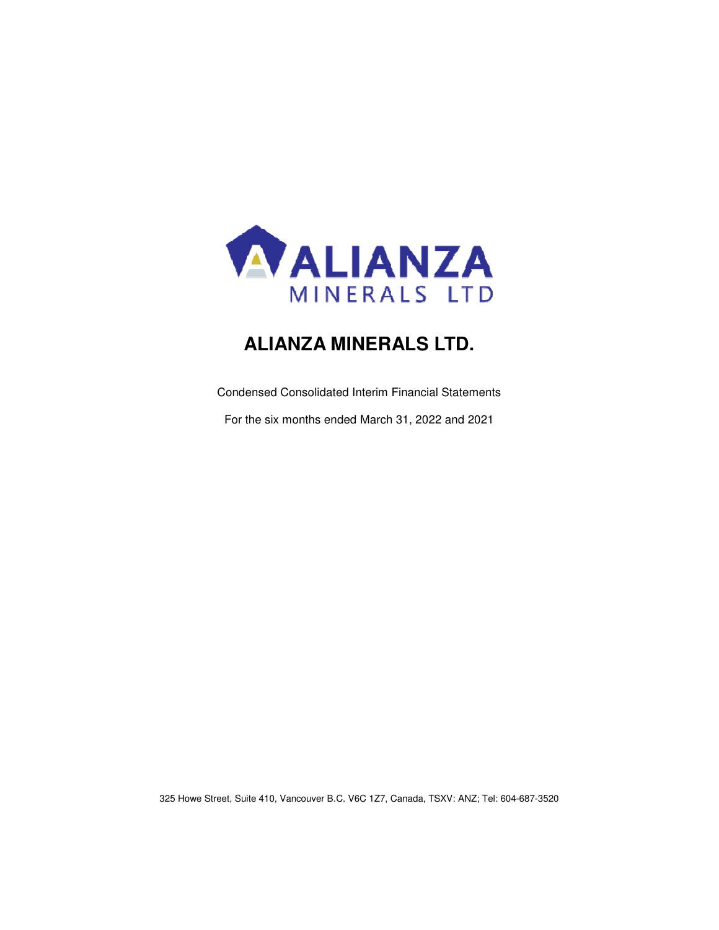

# **ALIANZA MINERALS LTD.**

Condensed Consolidated Interim Financial Statements

For the six months ended March 31, 2022 and 2021

325 Howe Street, Suite 410, Vancouver B.C. V6C 1Z7, Canada, TSXV: ANZ; Tel: 604-687-3520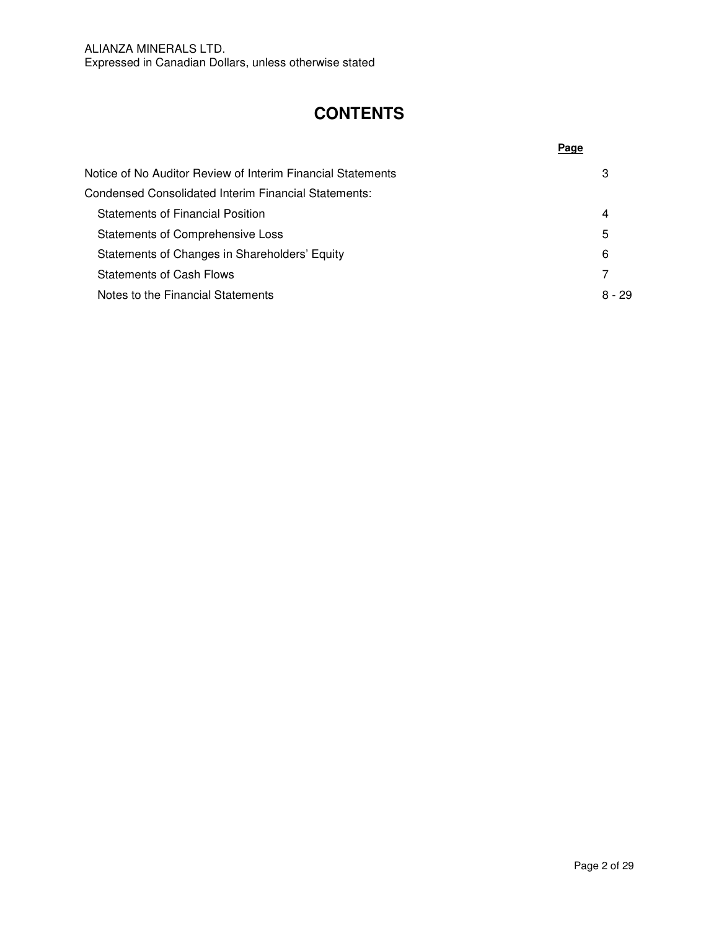## **CONTENTS**

| Notice of No Auditor Review of Interim Financial Statements | 3        |
|-------------------------------------------------------------|----------|
| Condensed Consolidated Interim Financial Statements:        |          |
| <b>Statements of Financial Position</b>                     | 4        |
| Statements of Comprehensive Loss                            | 5        |
| Statements of Changes in Shareholders' Equity               | 6        |
| <b>Statements of Cash Flows</b>                             |          |
| Notes to the Financial Statements                           | $8 - 29$ |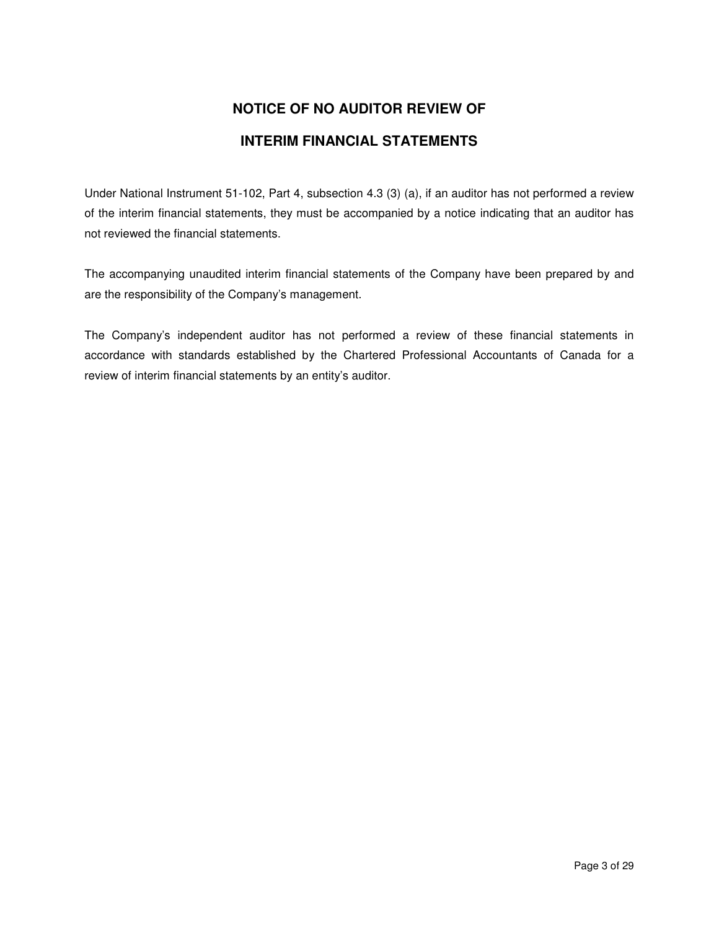# **NOTICE OF NO AUDITOR REVIEW OF INTERIM FINANCIAL STATEMENTS**

Under National Instrument 51-102, Part 4, subsection 4.3 (3) (a), if an auditor has not performed a review of the interim financial statements, they must be accompanied by a notice indicating that an auditor has not reviewed the financial statements.

The accompanying unaudited interim financial statements of the Company have been prepared by and are the responsibility of the Company's management.

The Company's independent auditor has not performed a review of these financial statements in accordance with standards established by the Chartered Professional Accountants of Canada for a review of interim financial statements by an entity's auditor.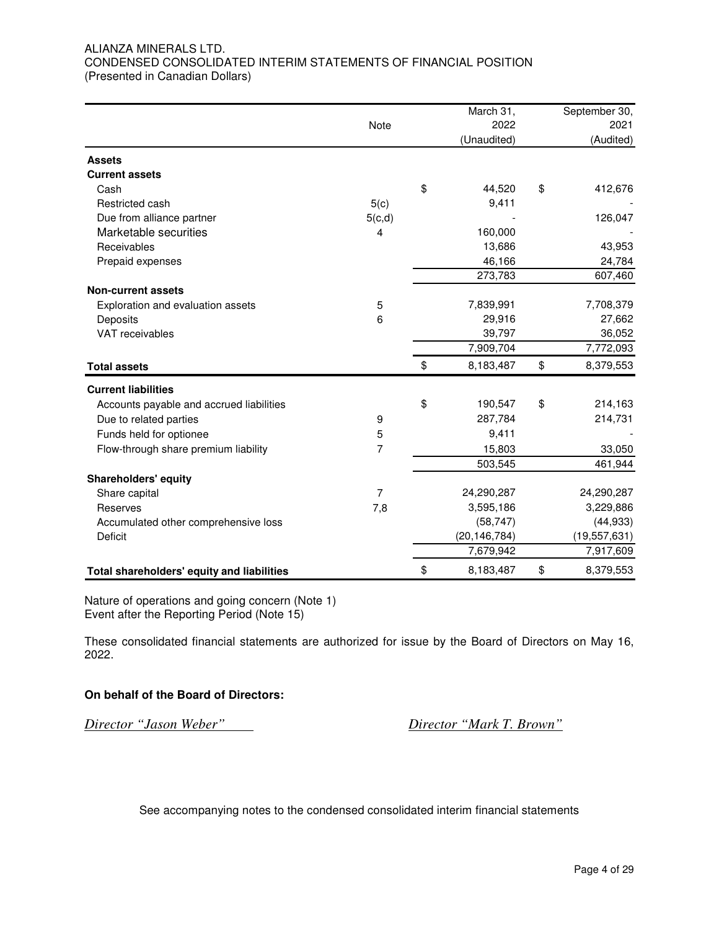## ALIANZA MINERALS LTD. CONDENSED CONSOLIDATED INTERIM STATEMENTS OF FINANCIAL POSITION (Presented in Canadian Dollars)

|                                            |                | March 31,       | September 30,   |
|--------------------------------------------|----------------|-----------------|-----------------|
|                                            | Note           | 2022            | 2021            |
|                                            |                | (Unaudited)     | (Audited)       |
| <b>Assets</b>                              |                |                 |                 |
| <b>Current assets</b>                      |                |                 |                 |
| Cash                                       |                | \$<br>44,520    | \$<br>412,676   |
| Restricted cash                            | 5(c)           | 9,411           |                 |
| Due from alliance partner                  | 5(c,d)         |                 | 126,047         |
| Marketable securities                      | 4              | 160,000         |                 |
| Receivables                                |                | 13,686          | 43,953          |
| Prepaid expenses                           |                | 46,166          | 24,784          |
|                                            |                | 273,783         | 607,460         |
| <b>Non-current assets</b>                  |                |                 |                 |
| Exploration and evaluation assets          | 5              | 7,839,991       | 7,708,379       |
| Deposits                                   | 6              | 29,916          | 27,662          |
| VAT receivables                            |                | 39,797          | 36,052          |
|                                            |                | 7,909,704       | 7,772,093       |
| <b>Total assets</b>                        |                | \$<br>8,183,487 | \$<br>8,379,553 |
| <b>Current liabilities</b>                 |                |                 |                 |
| Accounts payable and accrued liabilities   |                | \$<br>190,547   | \$<br>214,163   |
| Due to related parties                     | 9              | 287,784         | 214,731         |
| Funds held for optionee                    | 5              | 9,411           |                 |
| Flow-through share premium liability       | 7              | 15,803          | 33,050          |
|                                            |                | 503,545         | 461,944         |
| <b>Shareholders' equity</b>                |                |                 |                 |
| Share capital                              | $\overline{7}$ | 24,290,287      | 24,290,287      |
| Reserves                                   | 7,8            | 3,595,186       | 3,229,886       |
| Accumulated other comprehensive loss       |                | (58, 747)       | (44, 933)       |
| <b>Deficit</b>                             |                | (20, 146, 784)  | (19, 557, 631)  |
|                                            |                | 7,679,942       | 7,917,609       |
| Total shareholders' equity and liabilities |                | \$<br>8,183,487 | \$<br>8,379,553 |

Nature of operations and going concern (Note 1) Event after the Reporting Period (Note 15)

These consolidated financial statements are authorized for issue by the Board of Directors on May 16, 2022.

## **On behalf of the Board of Directors:**

*Director "Jason Weber" Director "Mark T. Brown"*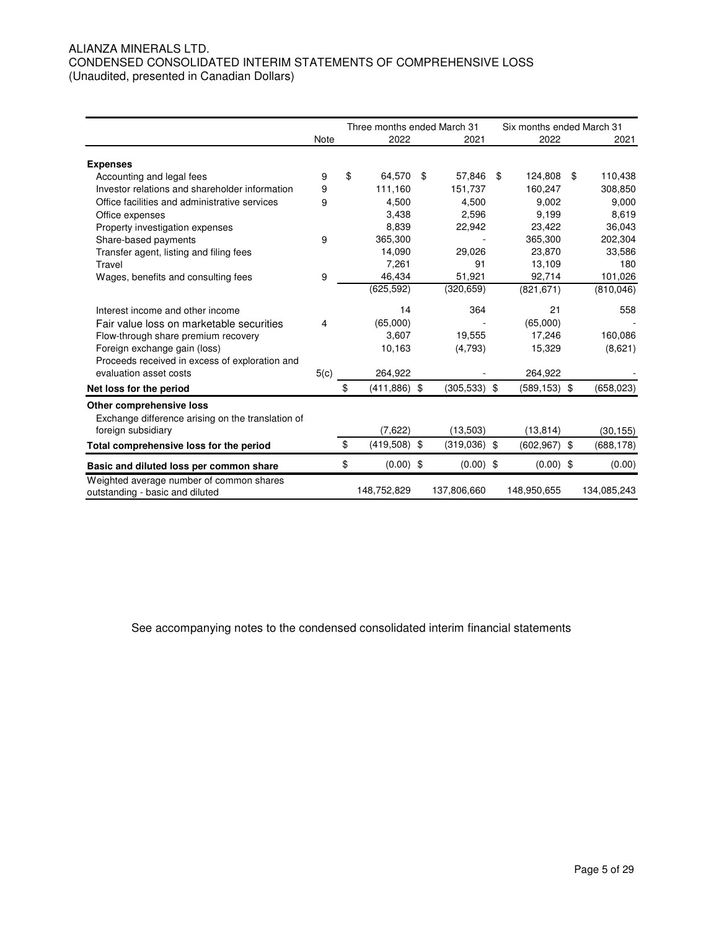## ALIANZA MINERALS LTD. CONDENSED CONSOLIDATED INTERIM STATEMENTS OF COMPREHENSIVE LOSS (Unaudited, presented in Canadian Dollars)

|                                                                             |      | Three months ended March 31 |                      | Six months ended March 31 |               |  |
|-----------------------------------------------------------------------------|------|-----------------------------|----------------------|---------------------------|---------------|--|
|                                                                             | Note | 2022                        | 2021                 | 2022                      | 2021          |  |
| <b>Expenses</b>                                                             |      |                             |                      |                           |               |  |
| Accounting and legal fees                                                   | 9    | \$<br>64.570                | \$<br>57,846         | \$<br>124,808             | \$<br>110,438 |  |
| Investor relations and shareholder information                              | 9    | 111,160                     | 151,737              | 160,247                   | 308,850       |  |
| Office facilities and administrative services                               | 9    | 4,500                       | 4,500                | 9.002                     | 9,000         |  |
| Office expenses                                                             |      | 3.438                       | 2.596                | 9,199                     | 8,619         |  |
| Property investigation expenses                                             |      | 8,839                       | 22,942               | 23,422                    | 36,043        |  |
| Share-based payments                                                        | 9    | 365,300                     |                      | 365,300                   | 202,304       |  |
| Transfer agent, listing and filing fees                                     |      | 14,090                      | 29,026               | 23,870                    | 33,586        |  |
| Travel                                                                      |      | 7.261                       | 91                   | 13,109                    | 180           |  |
| Wages, benefits and consulting fees                                         | 9    | 46,434                      | 51,921               | 92,714                    | 101,026       |  |
|                                                                             |      | (625, 592)                  | (320, 659)           | (821, 671)                | (810, 046)    |  |
| Interest income and other income                                            |      | 14                          | 364                  | 21                        | 558           |  |
| Fair value loss on marketable securities                                    | 4    | (65,000)                    |                      | (65,000)                  |               |  |
| Flow-through share premium recovery                                         |      | 3,607                       | 19,555               | 17,246                    | 160,086       |  |
| Foreign exchange gain (loss)                                                |      | 10,163                      | (4,793)              | 15,329                    | (8,621)       |  |
| Proceeds received in excess of exploration and                              |      |                             |                      |                           |               |  |
| evaluation asset costs                                                      | 5(c) | 264,922                     |                      | 264,922                   |               |  |
| Net loss for the period                                                     |      | \$<br>$(411, 886)$ \$       | $(305,533)$ \$       | $(589, 153)$ \$           | (658, 023)    |  |
| Other comprehensive loss                                                    |      |                             |                      |                           |               |  |
| Exchange difference arising on the translation of                           |      |                             |                      |                           |               |  |
| foreign subsidiary                                                          |      | (7,622)                     | (13,503)             | (13, 814)                 | (30, 155)     |  |
| Total comprehensive loss for the period                                     |      | \$<br>(419,508)             | \$<br>$(319,036)$ \$ | $(602, 967)$ \$           | (688, 178)    |  |
| Basic and diluted loss per common share                                     |      | \$<br>$(0.00)$ \$           | $(0.00)$ \$          | $(0.00)$ \$               | (0.00)        |  |
| Weighted average number of common shares<br>outstanding - basic and diluted |      | 148,752,829                 | 137,806,660          | 148,950,655               | 134,085,243   |  |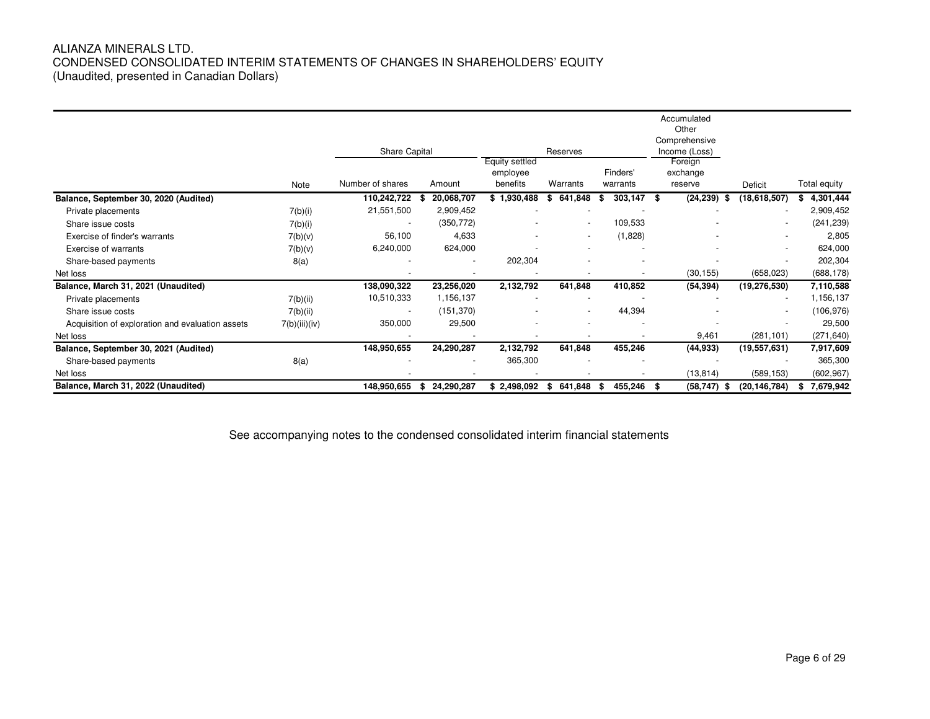## ALIANZA MINERALS LTD. CONDENSED CONSOLIDATED INTERIM STATEMENTS OF CHANGES IN SHAREHOLDERS' EQUITY (Unaudited, presented in Canadian Dollars)

|                                                  | Note          | Share Capital<br>Number of shares | Amount                   | Equity settled<br>employee<br>benefits | Reserves<br>Warrants     | Finders'<br>warrants | Accumulated<br>Other<br>Comprehensive<br>Income (Loss)<br>Foreign<br>exchange<br>reserve | Deficit        | Total equity    |
|--------------------------------------------------|---------------|-----------------------------------|--------------------------|----------------------------------------|--------------------------|----------------------|------------------------------------------------------------------------------------------|----------------|-----------------|
| Balance, September 30, 2020 (Audited)            |               | 110,242,722                       | 20,068,707               | \$1,930,488                            | 641,848<br>\$            | 303,147<br>S.        | (24, 239)<br>- \$<br>\$                                                                  | (18,618,507)   | 4,301,444<br>s. |
| Private placements                               | 7(b)(i)       | 21,551,500                        | 2,909,452                |                                        |                          |                      |                                                                                          |                | 2,909,452       |
| Share issue costs                                | 7(b)(i)       | $\overline{\phantom{a}}$          | (350, 772)               |                                        | $\overline{\phantom{a}}$ | 109,533              |                                                                                          |                | (241, 239)      |
| Exercise of finder's warrants                    | 7(b)(v)       | 56,100                            | 4,633                    |                                        | $\overline{\phantom{a}}$ | (1,828)              |                                                                                          |                | 2,805           |
| Exercise of warrants                             | 7(b)(v)       | 6,240,000                         | 624,000                  |                                        |                          |                      |                                                                                          |                | 624,000         |
| Share-based payments                             | 8(a)          |                                   | $\overline{\phantom{a}}$ | 202,304                                |                          |                      |                                                                                          |                | 202,304         |
| Net loss                                         |               |                                   |                          |                                        |                          |                      | (30, 155)                                                                                | (658, 023)     | (688, 178)      |
| Balance, March 31, 2021 (Unaudited)              |               | 138,090,322                       | 23,256,020               | 2,132,792                              | 641,848                  | 410,852              | (54, 394)                                                                                | (19, 276, 530) | 7,110,588       |
| Private placements                               | 7(b)(ii)      | 10,510,333                        | 1,156,137                |                                        |                          |                      |                                                                                          |                | 1,156,137       |
| Share issue costs                                | 7(b)(ii)      | $\overline{\phantom{a}}$          | (151, 370)               |                                        | $\overline{\phantom{a}}$ | 44,394               |                                                                                          |                | (106,976)       |
| Acquisition of exploration and evaluation assets | 7(b)(iii)(iv) | 350,000                           | 29,500                   |                                        |                          |                      |                                                                                          |                | 29,500          |
| Net loss                                         |               |                                   |                          |                                        |                          |                      | 9,461                                                                                    | (281, 101)     | (271, 640)      |
| Balance, September 30, 2021 (Audited)            |               | 148,950,655                       | 24,290,287               | 2,132,792                              | 641,848                  | 455,246              | (44,933)                                                                                 | (19, 557, 631) | 7,917,609       |
| Share-based payments                             | 8(a)          |                                   |                          | 365,300                                |                          |                      |                                                                                          |                | 365,300         |
| Net loss                                         |               |                                   |                          |                                        |                          |                      | (13, 814)                                                                                | (589, 153)     | (602, 967)      |
| Balance, March 31, 2022 (Unaudited)              |               | 148,950,655                       | 24,290,287<br>\$         | \$2,498,092                            | 641,848<br>S             | 455,246<br>S.        | (58, 747)<br>- \$<br>- 56                                                                | (20, 146, 784) | \$7,679,942     |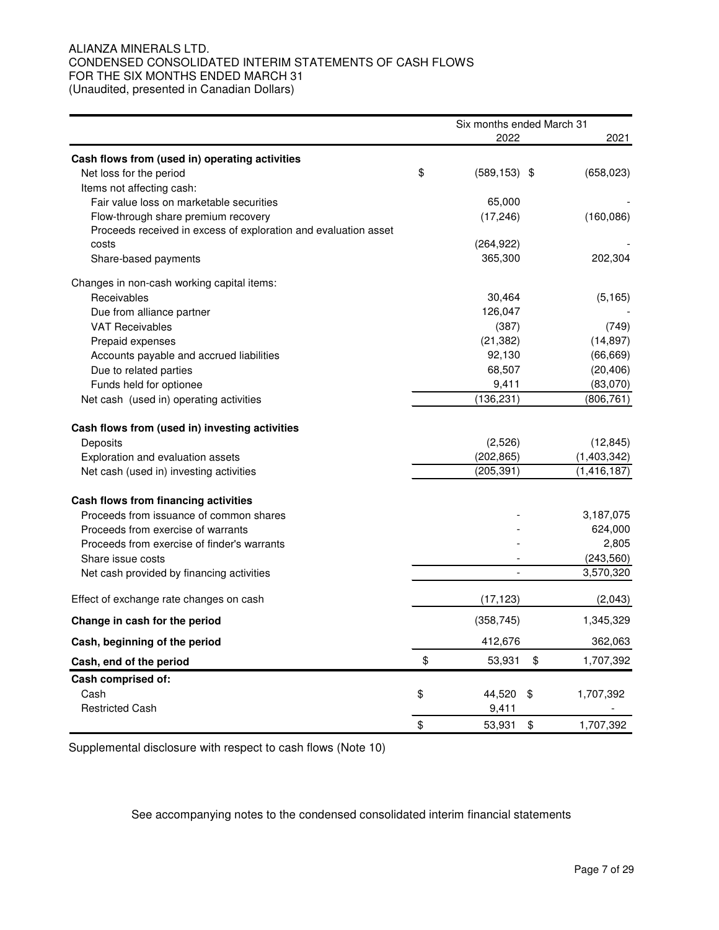## ALIANZA MINERALS LTD. CONDENSED CONSOLIDATED INTERIM STATEMENTS OF CASH FLOWS FOR THE SIX MONTHS ENDED MARCH 31 (Unaudited, presented in Canadian Dollars)

|                                                                 | Six months ended March 31 |    |               |
|-----------------------------------------------------------------|---------------------------|----|---------------|
|                                                                 | 2022                      |    | 2021          |
| Cash flows from (used in) operating activities                  |                           |    |               |
| Net loss for the period                                         | \$<br>$(589, 153)$ \$     |    | (658, 023)    |
| Items not affecting cash:                                       |                           |    |               |
| Fair value loss on marketable securities                        | 65,000                    |    |               |
| Flow-through share premium recovery                             | (17, 246)                 |    | (160, 086)    |
| Proceeds received in excess of exploration and evaluation asset |                           |    |               |
| costs                                                           | (264, 922)                |    |               |
| Share-based payments                                            | 365,300                   |    | 202,304       |
| Changes in non-cash working capital items:                      |                           |    |               |
| Receivables                                                     | 30,464                    |    | (5, 165)      |
| Due from alliance partner                                       | 126,047                   |    |               |
| <b>VAT Receivables</b>                                          | (387)                     |    | (749)         |
| Prepaid expenses                                                | (21, 382)                 |    | (14, 897)     |
| Accounts payable and accrued liabilities                        | 92,130                    |    | (66, 669)     |
| Due to related parties                                          | 68,507                    |    | (20, 406)     |
| Funds held for optionee                                         | 9,411                     |    | (83,070)      |
| Net cash (used in) operating activities                         | (136, 231)                |    | (806, 761)    |
| Cash flows from (used in) investing activities                  |                           |    |               |
| Deposits                                                        | (2,526)                   |    | (12, 845)     |
| Exploration and evaluation assets                               | (202, 865)                |    | (1,403,342)   |
| Net cash (used in) investing activities                         | (205, 391)                |    | (1, 416, 187) |
| Cash flows from financing activities                            |                           |    |               |
| Proceeds from issuance of common shares                         |                           |    | 3,187,075     |
| Proceeds from exercise of warrants                              |                           |    | 624,000       |
| Proceeds from exercise of finder's warrants                     |                           |    | 2,805         |
| Share issue costs                                               |                           |    | (243, 560)    |
| Net cash provided by financing activities                       | $\overline{a}$            |    | 3,570,320     |
| Effect of exchange rate changes on cash                         | (17, 123)                 |    | (2,043)       |
| Change in cash for the period                                   | (358, 745)                |    | 1,345,329     |
| Cash, beginning of the period                                   | 412,676                   |    | 362,063       |
| Cash, end of the period                                         | \$<br>53,931              | \$ | 1,707,392     |
| Cash comprised of:                                              |                           |    |               |
| Cash                                                            | \$<br>44,520              | \$ | 1,707,392     |
| <b>Restricted Cash</b>                                          | 9,411                     |    |               |
|                                                                 | \$<br>53,931              | \$ | 1,707,392     |

Supplemental disclosure with respect to cash flows (Note 10)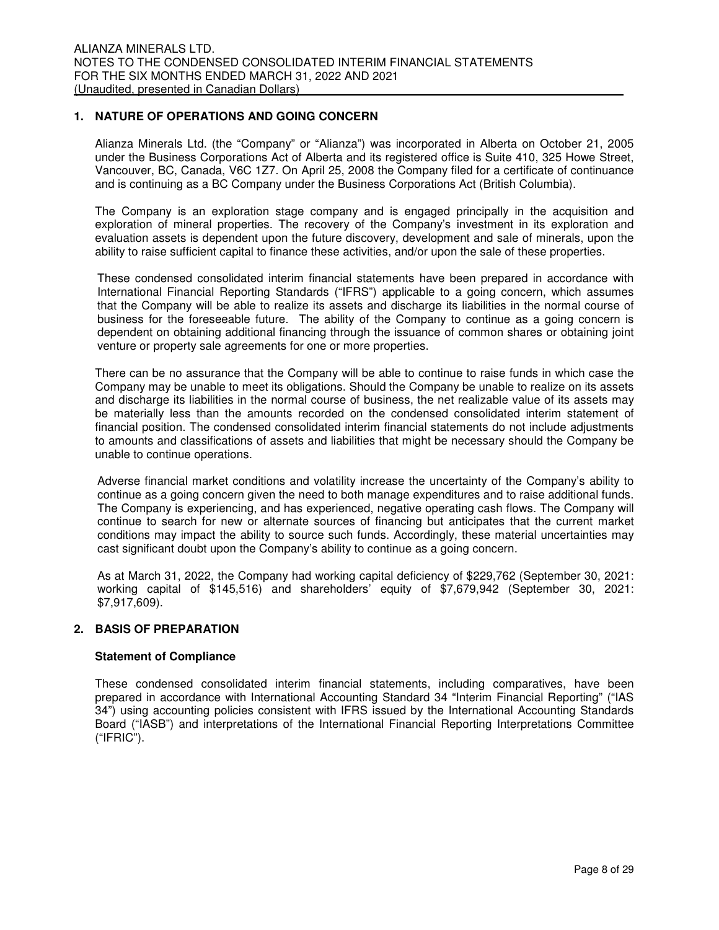## **1. NATURE OF OPERATIONS AND GOING CONCERN**

Alianza Minerals Ltd. (the "Company" or "Alianza") was incorporated in Alberta on October 21, 2005 under the Business Corporations Act of Alberta and its registered office is Suite 410, 325 Howe Street, Vancouver, BC, Canada, V6C 1Z7. On April 25, 2008 the Company filed for a certificate of continuance and is continuing as a BC Company under the Business Corporations Act (British Columbia).

The Company is an exploration stage company and is engaged principally in the acquisition and exploration of mineral properties. The recovery of the Company's investment in its exploration and evaluation assets is dependent upon the future discovery, development and sale of minerals, upon the ability to raise sufficient capital to finance these activities, and/or upon the sale of these properties.

These condensed consolidated interim financial statements have been prepared in accordance with International Financial Reporting Standards ("IFRS") applicable to a going concern, which assumes that the Company will be able to realize its assets and discharge its liabilities in the normal course of business for the foreseeable future. The ability of the Company to continue as a going concern is dependent on obtaining additional financing through the issuance of common shares or obtaining joint venture or property sale agreements for one or more properties.

There can be no assurance that the Company will be able to continue to raise funds in which case the Company may be unable to meet its obligations. Should the Company be unable to realize on its assets and discharge its liabilities in the normal course of business, the net realizable value of its assets may be materially less than the amounts recorded on the condensed consolidated interim statement of financial position. The condensed consolidated interim financial statements do not include adjustments to amounts and classifications of assets and liabilities that might be necessary should the Company be unable to continue operations.

Adverse financial market conditions and volatility increase the uncertainty of the Company's ability to continue as a going concern given the need to both manage expenditures and to raise additional funds. The Company is experiencing, and has experienced, negative operating cash flows. The Company will continue to search for new or alternate sources of financing but anticipates that the current market conditions may impact the ability to source such funds. Accordingly, these material uncertainties may cast significant doubt upon the Company's ability to continue as a going concern.

As at March 31, 2022, the Company had working capital deficiency of \$229,762 (September 30, 2021: working capital of \$145,516) and shareholders' equity of \$7,679,942 (September 30, 2021: \$7,917,609).

## **2. BASIS OF PREPARATION**

## **Statement of Compliance**

These condensed consolidated interim financial statements, including comparatives, have been prepared in accordance with International Accounting Standard 34 "Interim Financial Reporting" ("IAS 34") using accounting policies consistent with IFRS issued by the International Accounting Standards Board ("IASB") and interpretations of the International Financial Reporting Interpretations Committee ("IFRIC").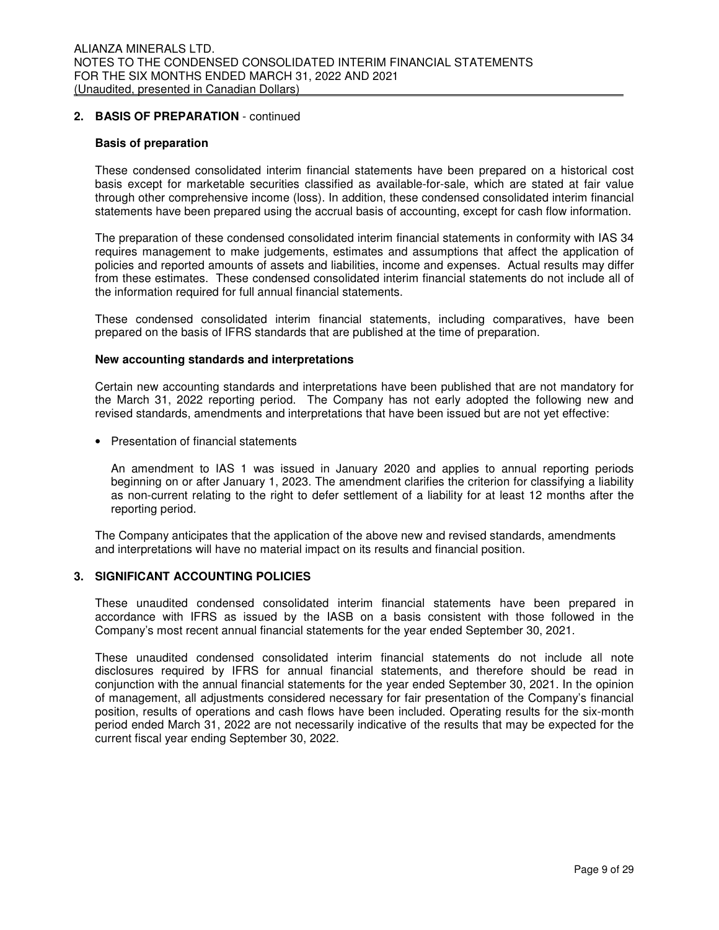## **2. BASIS OF PREPARATION** - continued

#### **Basis of preparation**

These condensed consolidated interim financial statements have been prepared on a historical cost basis except for marketable securities classified as available-for-sale, which are stated at fair value through other comprehensive income (loss). In addition, these condensed consolidated interim financial statements have been prepared using the accrual basis of accounting, except for cash flow information.

The preparation of these condensed consolidated interim financial statements in conformity with IAS 34 requires management to make judgements, estimates and assumptions that affect the application of policies and reported amounts of assets and liabilities, income and expenses. Actual results may differ from these estimates. These condensed consolidated interim financial statements do not include all of the information required for full annual financial statements.

These condensed consolidated interim financial statements, including comparatives, have been prepared on the basis of IFRS standards that are published at the time of preparation.

#### **New accounting standards and interpretations**

Certain new accounting standards and interpretations have been published that are not mandatory for the March 31, 2022 reporting period. The Company has not early adopted the following new and revised standards, amendments and interpretations that have been issued but are not yet effective:

• Presentation of financial statements

An amendment to IAS 1 was issued in January 2020 and applies to annual reporting periods beginning on or after January 1, 2023. The amendment clarifies the criterion for classifying a liability as non-current relating to the right to defer settlement of a liability for at least 12 months after the reporting period.

The Company anticipates that the application of the above new and revised standards, amendments and interpretations will have no material impact on its results and financial position.

#### **3. SIGNIFICANT ACCOUNTING POLICIES**

These unaudited condensed consolidated interim financial statements have been prepared in accordance with IFRS as issued by the IASB on a basis consistent with those followed in the Company's most recent annual financial statements for the year ended September 30, 2021.

These unaudited condensed consolidated interim financial statements do not include all note disclosures required by IFRS for annual financial statements, and therefore should be read in conjunction with the annual financial statements for the year ended September 30, 2021. In the opinion of management, all adjustments considered necessary for fair presentation of the Company's financial position, results of operations and cash flows have been included. Operating results for the six-month period ended March 31, 2022 are not necessarily indicative of the results that may be expected for the current fiscal year ending September 30, 2022.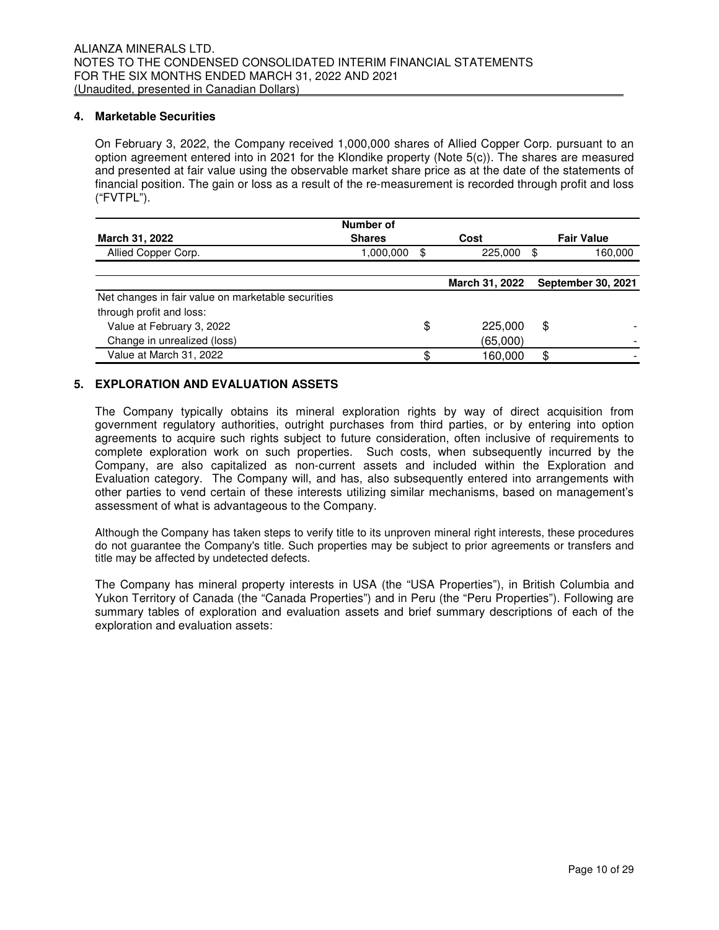## **4. Marketable Securities**

On February 3, 2022, the Company received 1,000,000 shares of Allied Copper Corp. pursuant to an option agreement entered into in 2021 for the Klondike property (Note 5(c)). The shares are measured and presented at fair value using the observable market share price as at the date of the statements of financial position. The gain or loss as a result of the re-measurement is recorded through profit and loss ("FVTPL").

|                                                    | Number of     |    |                |                           |
|----------------------------------------------------|---------------|----|----------------|---------------------------|
| March 31, 2022                                     | <b>Shares</b> |    | Cost           | <b>Fair Value</b>         |
| Allied Copper Corp.                                | 1,000,000     | \$ | 225,000        | 160,000<br>\$.            |
|                                                    |               |    |                |                           |
|                                                    |               |    | March 31, 2022 | <b>September 30, 2021</b> |
| Net changes in fair value on marketable securities |               |    |                |                           |
| through profit and loss:                           |               |    |                |                           |
| Value at February 3, 2022                          |               | \$ | 225,000        | \$                        |
| Change in unrealized (loss)                        |               |    | (65,000)       |                           |
| Value at March 31, 2022                            |               | ጥ  | 160.000        | \$                        |

## **5. EXPLORATION AND EVALUATION ASSETS**

The Company typically obtains its mineral exploration rights by way of direct acquisition from government regulatory authorities, outright purchases from third parties, or by entering into option agreements to acquire such rights subject to future consideration, often inclusive of requirements to complete exploration work on such properties. Such costs, when subsequently incurred by the Company, are also capitalized as non-current assets and included within the Exploration and Evaluation category. The Company will, and has, also subsequently entered into arrangements with other parties to vend certain of these interests utilizing similar mechanisms, based on management's assessment of what is advantageous to the Company.

Although the Company has taken steps to verify title to its unproven mineral right interests, these procedures do not guarantee the Company's title. Such properties may be subject to prior agreements or transfers and title may be affected by undetected defects.

The Company has mineral property interests in USA (the "USA Properties"), in British Columbia and Yukon Territory of Canada (the "Canada Properties") and in Peru (the "Peru Properties"). Following are summary tables of exploration and evaluation assets and brief summary descriptions of each of the exploration and evaluation assets: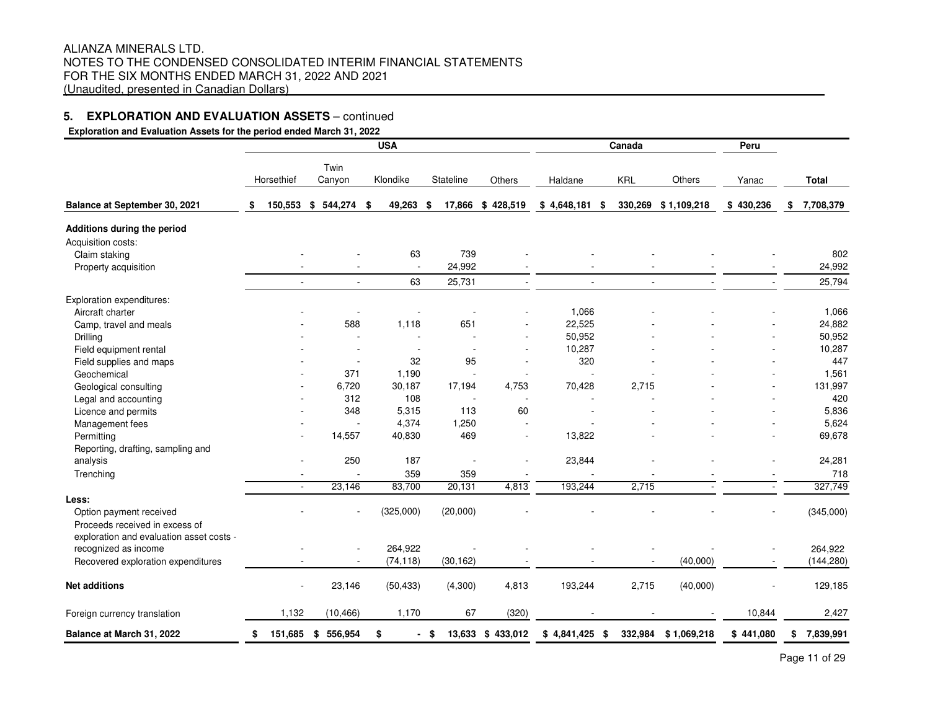**Exploration and Evaluation Assets for the period ended March 31, 2022**

| Twin<br>Klondike<br>Stateline<br>Others<br>Horsethief<br>Canyon<br>Others<br>Haldane<br><b>KRL</b><br>Yanac<br>150,553<br>\$<br>544,274<br>49,263<br>\$428,519<br>\$4,648,181<br>330,269<br>\$1,109,218<br>\$430,236<br>\$<br>17,866<br>\$<br>\$<br>Balance at September 30, 2021<br>\$<br>- \$<br>Additions during the period<br>Acquisition costs:<br>739<br>63<br>Claim staking<br>24,992<br>Property acquisition<br>25,731<br>63<br>$\mathcal{L}_{\mathcal{A}}$<br>$\sim$<br>$\omega$<br>$\sim$<br>$\omega$<br>÷.<br>$\sim$<br>Exploration expenditures:<br>1,066<br>Aircraft charter | <b>Total</b><br>7,708,379<br>802<br>24,992<br>25,794<br>1,066<br>24,882 |
|-------------------------------------------------------------------------------------------------------------------------------------------------------------------------------------------------------------------------------------------------------------------------------------------------------------------------------------------------------------------------------------------------------------------------------------------------------------------------------------------------------------------------------------------------------------------------------------------|-------------------------------------------------------------------------|
|                                                                                                                                                                                                                                                                                                                                                                                                                                                                                                                                                                                           |                                                                         |
|                                                                                                                                                                                                                                                                                                                                                                                                                                                                                                                                                                                           |                                                                         |
|                                                                                                                                                                                                                                                                                                                                                                                                                                                                                                                                                                                           |                                                                         |
|                                                                                                                                                                                                                                                                                                                                                                                                                                                                                                                                                                                           |                                                                         |
|                                                                                                                                                                                                                                                                                                                                                                                                                                                                                                                                                                                           |                                                                         |
|                                                                                                                                                                                                                                                                                                                                                                                                                                                                                                                                                                                           |                                                                         |
|                                                                                                                                                                                                                                                                                                                                                                                                                                                                                                                                                                                           |                                                                         |
|                                                                                                                                                                                                                                                                                                                                                                                                                                                                                                                                                                                           |                                                                         |
|                                                                                                                                                                                                                                                                                                                                                                                                                                                                                                                                                                                           |                                                                         |
| 588<br>22,525<br>1,118<br>651<br>Camp, travel and meals                                                                                                                                                                                                                                                                                                                                                                                                                                                                                                                                   |                                                                         |
| 50,952<br>Drilling                                                                                                                                                                                                                                                                                                                                                                                                                                                                                                                                                                        | 50,952                                                                  |
| 10,287<br>Field equipment rental                                                                                                                                                                                                                                                                                                                                                                                                                                                                                                                                                          | 10,287                                                                  |
| 95<br>320<br>32<br>Field supplies and maps                                                                                                                                                                                                                                                                                                                                                                                                                                                                                                                                                | 447                                                                     |
| 371<br>1,190<br>Geochemical                                                                                                                                                                                                                                                                                                                                                                                                                                                                                                                                                               | 1,561                                                                   |
| 6,720<br>30,187<br>4,753<br>70,428<br>2,715<br>17,194<br>Geological consulting                                                                                                                                                                                                                                                                                                                                                                                                                                                                                                            | 131,997                                                                 |
| 312<br>108<br>Legal and accounting<br>÷.<br>$\sim$                                                                                                                                                                                                                                                                                                                                                                                                                                                                                                                                        | 420                                                                     |
| 348<br>5,315<br>113<br>60<br>Licence and permits                                                                                                                                                                                                                                                                                                                                                                                                                                                                                                                                          | 5,836                                                                   |
| 4,374<br>1,250<br>Management fees                                                                                                                                                                                                                                                                                                                                                                                                                                                                                                                                                         | 5,624                                                                   |
| 14,557<br>469<br>13,822<br>Permitting<br>40,830                                                                                                                                                                                                                                                                                                                                                                                                                                                                                                                                           | 69,678                                                                  |
| Reporting, drafting, sampling and                                                                                                                                                                                                                                                                                                                                                                                                                                                                                                                                                         |                                                                         |
| 250<br>187<br>23,844<br>analysis                                                                                                                                                                                                                                                                                                                                                                                                                                                                                                                                                          | 24,281                                                                  |
| 359<br>Trenching<br>359                                                                                                                                                                                                                                                                                                                                                                                                                                                                                                                                                                   | 718                                                                     |
| 23,146<br>83,700<br>20,131<br>4,813<br>193,244<br>2,715<br>$\mathbf{r}$<br>$\sim$<br>$\overline{a}$                                                                                                                                                                                                                                                                                                                                                                                                                                                                                       | 327,749                                                                 |
| Less:                                                                                                                                                                                                                                                                                                                                                                                                                                                                                                                                                                                     |                                                                         |
| (325,000)<br>(20,000)<br>Option payment received                                                                                                                                                                                                                                                                                                                                                                                                                                                                                                                                          | (345,000)                                                               |
| Proceeds received in excess of                                                                                                                                                                                                                                                                                                                                                                                                                                                                                                                                                            |                                                                         |
| exploration and evaluation asset costs -                                                                                                                                                                                                                                                                                                                                                                                                                                                                                                                                                  |                                                                         |
| recognized as income<br>264,922                                                                                                                                                                                                                                                                                                                                                                                                                                                                                                                                                           | 264,922                                                                 |
| (74, 118)<br>(30, 162)<br>(40,000)<br>Recovered exploration expenditures<br>$\sim$                                                                                                                                                                                                                                                                                                                                                                                                                                                                                                        | (144, 280)                                                              |
| <b>Net additions</b><br>23,146<br>(50, 433)<br>(4,300)<br>4,813<br>193,244<br>2,715<br>(40,000)<br>$\overline{\phantom{a}}$                                                                                                                                                                                                                                                                                                                                                                                                                                                               | 129,185                                                                 |
| 1,132<br>(10, 466)<br>1,170<br>67<br>(320)<br>10,844<br>Foreign currency translation                                                                                                                                                                                                                                                                                                                                                                                                                                                                                                      | 2,427                                                                   |
| 151,685<br>556,954<br>\$<br>13,633 \$ 433,012<br>$$4,841,425$ \$<br>332,984<br>\$441,080<br>Balance at March 31, 2022<br>\$<br>- \$<br>\$1,069,218<br>\$                                                                                                                                                                                                                                                                                                                                                                                                                                  | 7,839,991<br>\$                                                         |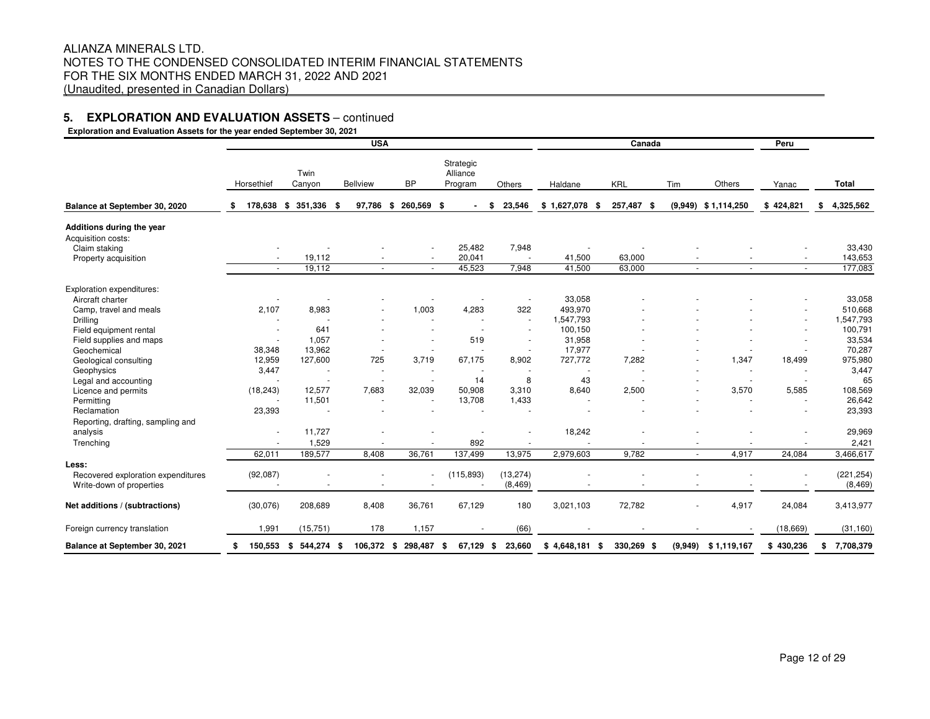**Exploration and Evaluation Assets for the year ended September 30, 2021Peru**HorsethiefTwin Canyon Bellview BP**Strategic**  Alliance Programm Others Haldane KRL Tim m Others Yanac **Total Balance at September 30, 2020 \$ 178,638 \$ 351,336 \$ 97,786 \$ 260,569 \$ - \$ 23,546 \$ 1,627,078 \$ 257,487 \$ (9,949) \$ 1,114,250 \$ 424,821 \$ 4,325,562 Additions during the year**Acquisition costs:Claim staking - - - 25,482 7,948 - - - - 33,430 Property acquisition - 19,112 - 20,041 - 41,500 63,000 - - 143,653 177.083 - 19,112 - - 45,523 7,948 41,500 63,000 - - - 177,083 Exploration expenditures:Aircraft charter - - - - - - - - - - - - - - - - - 33,058 - - - - - - - - - - - - - - 33,058 510,668 Camp, travel and meals **2,107** 8,983 - 1,003 4,283 322 493,970 - - - - - 51,547,793 1,547,793 Drilling - - - - - - 1,547,793 - - - - 1,547,793 Field equipment rental - 641 - - - - 100,150 - - - 100,791 33,534 Field supplies and maps and maps and the state of the state of the 1,057 and the state of the state of the state of the state of the state of the state of the state of the state of the state of the state of the state of th 70.287 Geochemical 38,348 13,962 - - - - 17,977 - - - - 70,287 975.980 Geological consulting 12,959 127,600 725 3,719 67,175 8,902 727,772 7,282 1,347 18,499 975,980 3,447 Geophysics 3,447 - - - - - - - - - - 3,447 65 Legal and accounting - - - - 14 8 43 - - - - 65 108.569 Licence and permits (18,243) 12,577 7,683 32,039 50,908 3,310 8,640 2,500 - 3,570 5,585 108,569 26.642 Permitting - 11,501 - - 13,708 1,433 - - - - - 26,642 23,393 Reclamation 23,393 - - - - - - - - - - 23,393 Reporting, drafting, sampling and analysis - 11,727 - - - - - - 11,727 - - - - 18,242 - - - - - - - - - - - 29,969 Trenching - 1,529 - - 892 - - - - - - 2,421 62,011 189,577 8,408 36,761 137,499 13,975 2,979,603 9,782 - 4,917 24,084 3,466,617 **Less:**Recovered exploration expenditures (92,087) - - - (115,893) (13,274) - - - - - - - - - - (221,254)  $(8, 469)$ Write-down of properties and the set of the set of the set of the set of the set of the set of the set of the set of the set of the set of the set of the set of the set of the set of the set of the set of the set of the se **Net additions / (subtractions)** (30,076) 208,689 8,408 36,761 67,129 180 3,021,103 72,782 - 4,917 24,084 3,413,977 Foreign currency translation 1,991 (15,751) 178 1,157 - (66) - - - - (18,669) (31,160)**Balance at September 30, 2021 \$ 150,553 \$ 544,274 \$ 106,372 \$ 298,487 \$ 67,129 \$ 23,660 \$ 4,648,181 \$ 330,269 \$ (9,949) \$ 1,119,167 \$ 430,236 \$ 7,708,379 USAA** Canada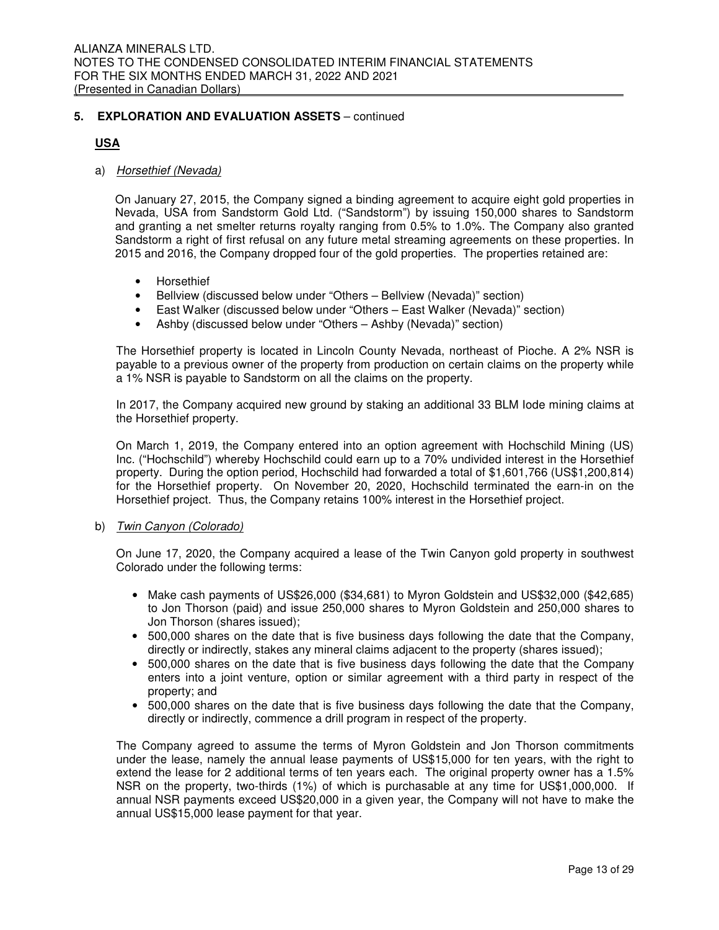## **USA**

## a) Horsethief (Nevada)

On January 27, 2015, the Company signed a binding agreement to acquire eight gold properties in Nevada, USA from Sandstorm Gold Ltd. ("Sandstorm") by issuing 150,000 shares to Sandstorm and granting a net smelter returns royalty ranging from 0.5% to 1.0%. The Company also granted Sandstorm a right of first refusal on any future metal streaming agreements on these properties. In 2015 and 2016, the Company dropped four of the gold properties. The properties retained are:

- Horsethief
- Bellview (discussed below under "Others Bellview (Nevada)" section)
- East Walker (discussed below under "Others East Walker (Nevada)" section)
- Ashby (discussed below under "Others Ashby (Nevada)" section)

The Horsethief property is located in Lincoln County Nevada, northeast of Pioche. A 2% NSR is payable to a previous owner of the property from production on certain claims on the property while a 1% NSR is payable to Sandstorm on all the claims on the property.

In 2017, the Company acquired new ground by staking an additional 33 BLM Iode mining claims at the Horsethief property.

On March 1, 2019, the Company entered into an option agreement with Hochschild Mining (US) Inc. ("Hochschild") whereby Hochschild could earn up to a 70% undivided interest in the Horsethief property. During the option period, Hochschild had forwarded a total of \$1,601,766 (US\$1,200,814) for the Horsethief property. On November 20, 2020, Hochschild terminated the earn-in on the Horsethief project. Thus, the Company retains 100% interest in the Horsethief project.

## b) Twin Canyon (Colorado)

On June 17, 2020, the Company acquired a lease of the Twin Canyon gold property in southwest Colorado under the following terms:

- Make cash payments of US\$26,000 (\$34,681) to Myron Goldstein and US\$32,000 (\$42,685) to Jon Thorson (paid) and issue 250,000 shares to Myron Goldstein and 250,000 shares to Jon Thorson (shares issued);
- 500,000 shares on the date that is five business days following the date that the Company, directly or indirectly, stakes any mineral claims adjacent to the property (shares issued);
- 500,000 shares on the date that is five business days following the date that the Company enters into a joint venture, option or similar agreement with a third party in respect of the property; and
- 500,000 shares on the date that is five business days following the date that the Company, directly or indirectly, commence a drill program in respect of the property.

The Company agreed to assume the terms of Myron Goldstein and Jon Thorson commitments under the lease, namely the annual lease payments of US\$15,000 for ten years, with the right to extend the lease for 2 additional terms of ten years each. The original property owner has a 1.5% NSR on the property, two-thirds (1%) of which is purchasable at any time for US\$1,000,000. If annual NSR payments exceed US\$20,000 in a given year, the Company will not have to make the annual US\$15,000 lease payment for that year.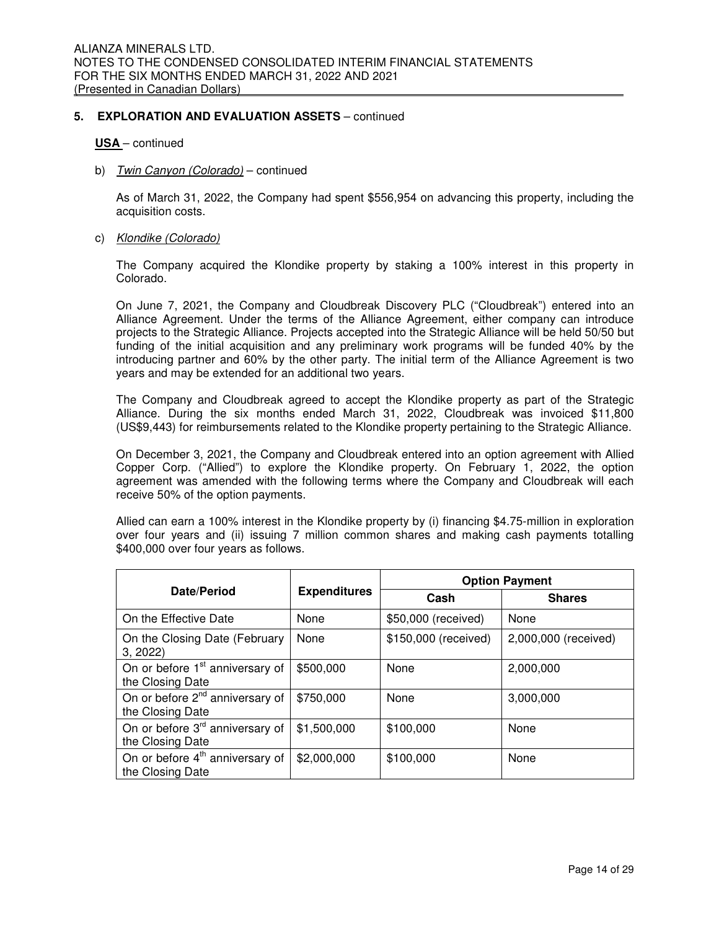#### **USA** – continued

b) Twin Canyon (Colorado) – continued

As of March 31, 2022, the Company had spent \$556,954 on advancing this property, including the acquisition costs.

#### c) Klondike (Colorado)

The Company acquired the Klondike property by staking a 100% interest in this property in Colorado.

On June 7, 2021, the Company and Cloudbreak Discovery PLC ("Cloudbreak") entered into an Alliance Agreement. Under the terms of the Alliance Agreement, either company can introduce projects to the Strategic Alliance. Projects accepted into the Strategic Alliance will be held 50/50 but funding of the initial acquisition and any preliminary work programs will be funded 40% by the introducing partner and 60% by the other party. The initial term of the Alliance Agreement is two years and may be extended for an additional two years.

The Company and Cloudbreak agreed to accept the Klondike property as part of the Strategic Alliance. During the six months ended March 31, 2022, Cloudbreak was invoiced \$11,800 (US\$9,443) for reimbursements related to the Klondike property pertaining to the Strategic Alliance.

On December 3, 2021, the Company and Cloudbreak entered into an option agreement with Allied Copper Corp. ("Allied") to explore the Klondike property. On February 1, 2022, the option agreement was amended with the following terms where the Company and Cloudbreak will each receive 50% of the option payments.

Allied can earn a 100% interest in the Klondike property by (i) financing \$4.75-million in exploration over four years and (ii) issuing 7 million common shares and making cash payments totalling \$400,000 over four years as follows.

|                                                                 |                     |                      | <b>Option Payment</b> |
|-----------------------------------------------------------------|---------------------|----------------------|-----------------------|
| Date/Period                                                     | <b>Expenditures</b> | Cash                 | <b>Shares</b>         |
| On the Effective Date                                           | None                | \$50,000 (received)  | None                  |
| On the Closing Date (February<br>3.2022                         | None                | \$150,000 (received) | 2,000,000 (received)  |
| On or before 1 <sup>st</sup> anniversary of<br>the Closing Date | \$500,000           | None                 | 2,000,000             |
| On or before 2 <sup>nd</sup> anniversary of<br>the Closing Date | \$750,000           | None                 | 3,000,000             |
| On or before 3 <sup>rd</sup> anniversary of<br>the Closing Date | \$1,500,000         | \$100,000            | None                  |
| On or before 4 <sup>th</sup> anniversary of<br>the Closing Date | \$2,000,000         | \$100,000            | None                  |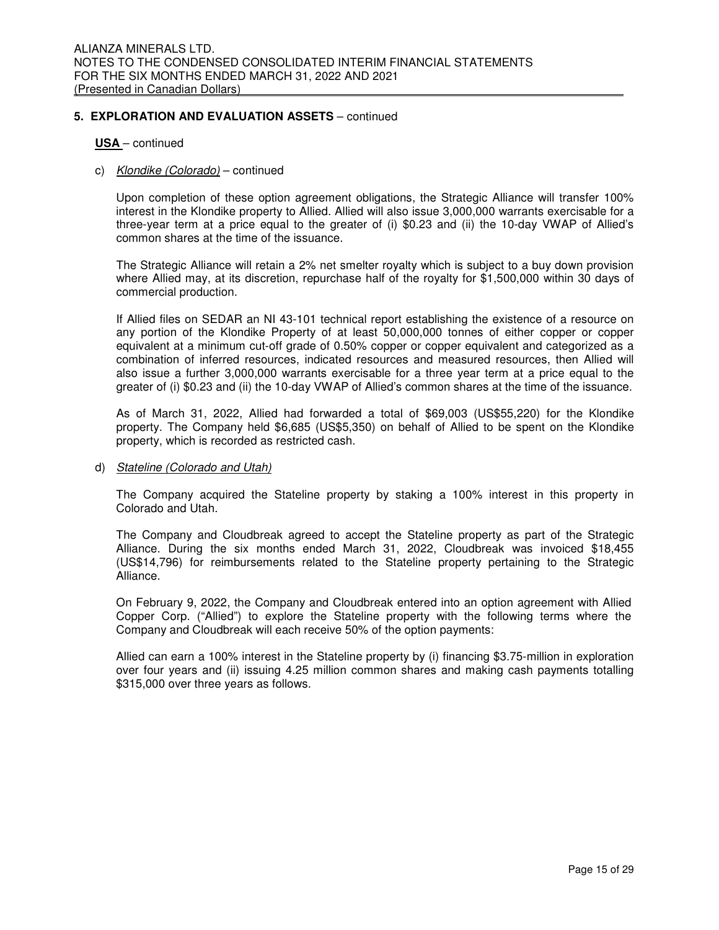#### **USA** – continued

## c) Klondike (Colorado) – continued

Upon completion of these option agreement obligations, the Strategic Alliance will transfer 100% interest in the Klondike property to Allied. Allied will also issue 3,000,000 warrants exercisable for a three-year term at a price equal to the greater of (i) \$0.23 and (ii) the 10-day VWAP of Allied's common shares at the time of the issuance.

The Strategic Alliance will retain a 2% net smelter royalty which is subject to a buy down provision where Allied may, at its discretion, repurchase half of the royalty for \$1,500,000 within 30 days of commercial production.

If Allied files on SEDAR an NI 43-101 technical report establishing the existence of a resource on any portion of the Klondike Property of at least 50,000,000 tonnes of either copper or copper equivalent at a minimum cut-off grade of 0.50% copper or copper equivalent and categorized as a combination of inferred resources, indicated resources and measured resources, then Allied will also issue a further 3,000,000 warrants exercisable for a three year term at a price equal to the greater of (i) \$0.23 and (ii) the 10-day VWAP of Allied's common shares at the time of the issuance.

As of March 31, 2022, Allied had forwarded a total of \$69,003 (US\$55,220) for the Klondike property. The Company held \$6,685 (US\$5,350) on behalf of Allied to be spent on the Klondike property, which is recorded as restricted cash.

#### d) Stateline (Colorado and Utah)

The Company acquired the Stateline property by staking a 100% interest in this property in Colorado and Utah.

The Company and Cloudbreak agreed to accept the Stateline property as part of the Strategic Alliance. During the six months ended March 31, 2022, Cloudbreak was invoiced \$18,455 (US\$14,796) for reimbursements related to the Stateline property pertaining to the Strategic Alliance.

On February 9, 2022, the Company and Cloudbreak entered into an option agreement with Allied Copper Corp. ("Allied") to explore the Stateline property with the following terms where the Company and Cloudbreak will each receive 50% of the option payments:

Allied can earn a 100% interest in the Stateline property by (i) financing \$3.75-million in exploration over four years and (ii) issuing 4.25 million common shares and making cash payments totalling \$315,000 over three years as follows.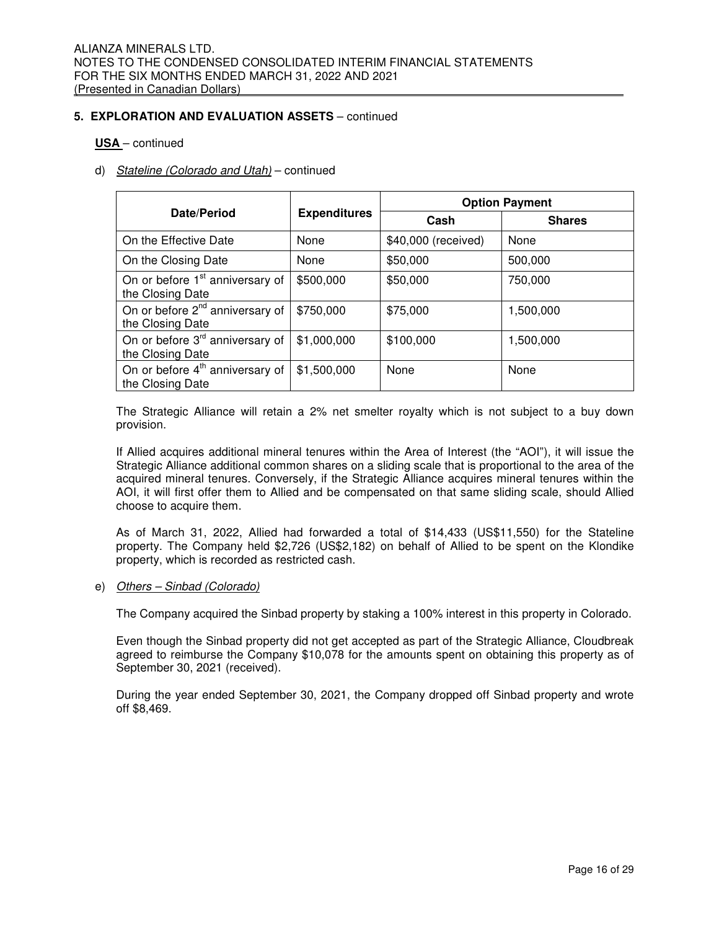## **USA** – continued

## d) Stateline (Colorado and Utah) – continued

|                                                                 |                     | <b>Option Payment</b> |               |  |  |  |
|-----------------------------------------------------------------|---------------------|-----------------------|---------------|--|--|--|
| Date/Period                                                     | <b>Expenditures</b> | Cash                  | <b>Shares</b> |  |  |  |
| On the Effective Date                                           | None                | \$40,000 (received)   | None          |  |  |  |
| On the Closing Date                                             | None                | \$50,000              | 500,000       |  |  |  |
| On or before 1 <sup>st</sup> anniversary of<br>the Closing Date | \$500,000           | \$50,000              | 750,000       |  |  |  |
| On or before 2 <sup>nd</sup> anniversary of<br>the Closing Date | \$750,000           | \$75,000              | 1,500,000     |  |  |  |
| On or before 3 <sup>rd</sup> anniversary of<br>the Closing Date | \$1,000,000         | \$100,000             | 1,500,000     |  |  |  |
| On or before 4 <sup>th</sup> anniversary of<br>the Closing Date | \$1,500,000         | None                  | None          |  |  |  |

The Strategic Alliance will retain a 2% net smelter royalty which is not subject to a buy down provision.

If Allied acquires additional mineral tenures within the Area of Interest (the "AOI"), it will issue the Strategic Alliance additional common shares on a sliding scale that is proportional to the area of the acquired mineral tenures. Conversely, if the Strategic Alliance acquires mineral tenures within the AOI, it will first offer them to Allied and be compensated on that same sliding scale, should Allied choose to acquire them.

As of March 31, 2022, Allied had forwarded a total of \$14,433 (US\$11,550) for the Stateline property. The Company held \$2,726 (US\$2,182) on behalf of Allied to be spent on the Klondike property, which is recorded as restricted cash.

#### e) Others - Sinbad (Colorado)

The Company acquired the Sinbad property by staking a 100% interest in this property in Colorado.

Even though the Sinbad property did not get accepted as part of the Strategic Alliance, Cloudbreak agreed to reimburse the Company \$10,078 for the amounts spent on obtaining this property as of September 30, 2021 (received).

During the year ended September 30, 2021, the Company dropped off Sinbad property and wrote off \$8,469.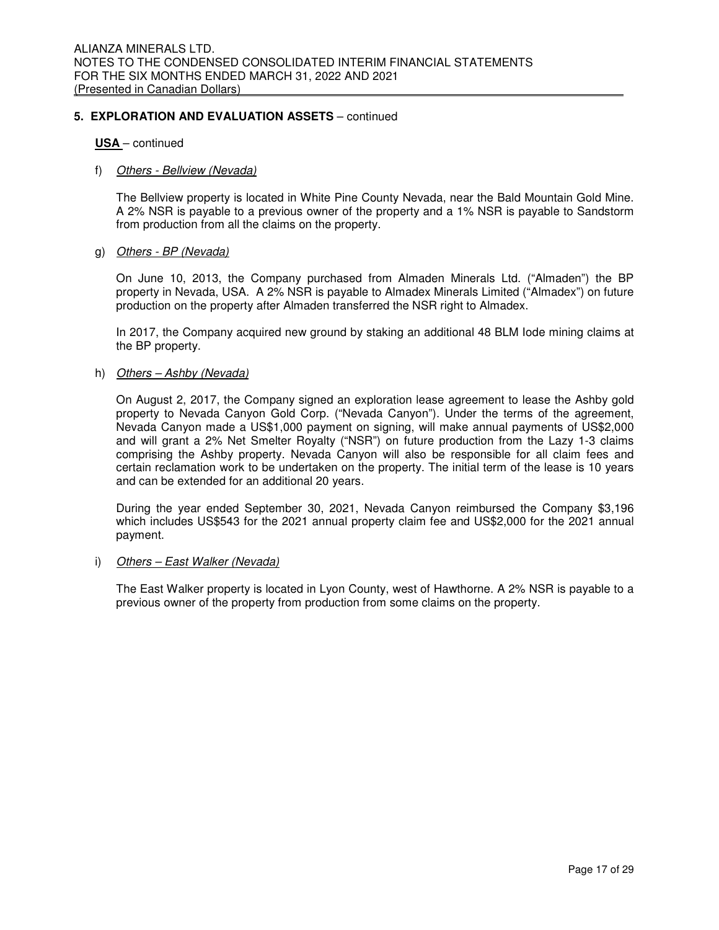## **USA** – continued

#### f) Others - Bellview (Nevada)

The Bellview property is located in White Pine County Nevada, near the Bald Mountain Gold Mine. A 2% NSR is payable to a previous owner of the property and a 1% NSR is payable to Sandstorm from production from all the claims on the property.

#### g) Others - BP (Nevada)

On June 10, 2013, the Company purchased from Almaden Minerals Ltd. ("Almaden") the BP property in Nevada, USA. A 2% NSR is payable to Almadex Minerals Limited ("Almadex") on future production on the property after Almaden transferred the NSR right to Almadex.

In 2017, the Company acquired new ground by staking an additional 48 BLM Iode mining claims at the BP property.

## h) Others - Ashby (Nevada)

On August 2, 2017, the Company signed an exploration lease agreement to lease the Ashby gold property to Nevada Canyon Gold Corp. ("Nevada Canyon"). Under the terms of the agreement, Nevada Canyon made a US\$1,000 payment on signing, will make annual payments of US\$2,000 and will grant a 2% Net Smelter Royalty ("NSR") on future production from the Lazy 1-3 claims comprising the Ashby property. Nevada Canyon will also be responsible for all claim fees and certain reclamation work to be undertaken on the property. The initial term of the lease is 10 years and can be extended for an additional 20 years.

During the year ended September 30, 2021, Nevada Canyon reimbursed the Company \$3,196 which includes US\$543 for the 2021 annual property claim fee and US\$2,000 for the 2021 annual payment.

#### i) Others - East Walker (Nevada)

The East Walker property is located in Lyon County, west of Hawthorne. A 2% NSR is payable to a previous owner of the property from production from some claims on the property.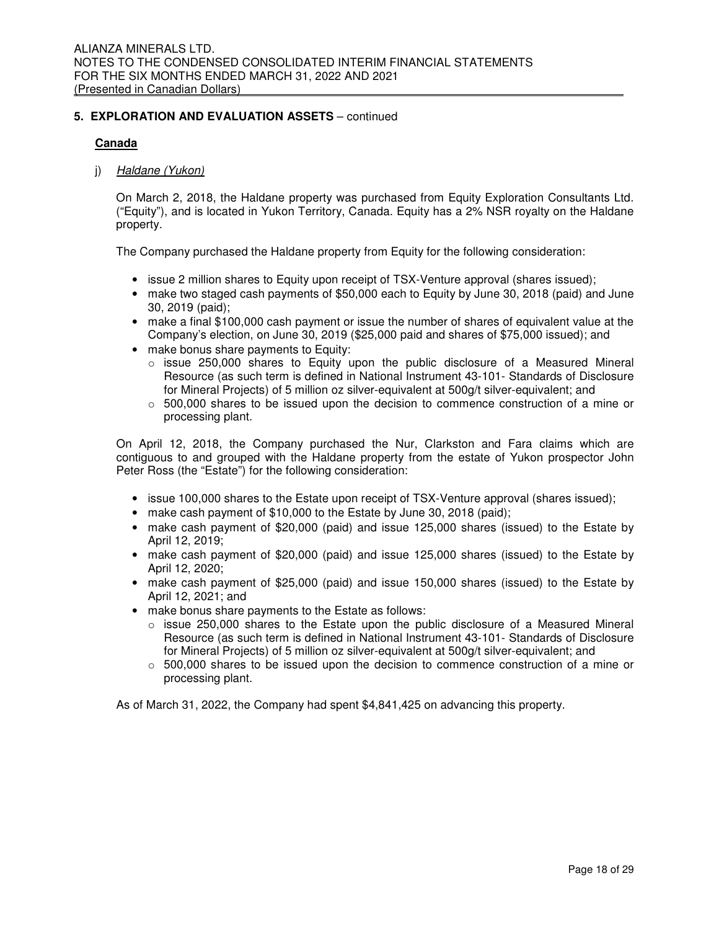## **Canada**

## j) Haldane (Yukon)

On March 2, 2018, the Haldane property was purchased from Equity Exploration Consultants Ltd. ("Equity"), and is located in Yukon Territory, Canada. Equity has a 2% NSR royalty on the Haldane property.

The Company purchased the Haldane property from Equity for the following consideration:

- issue 2 million shares to Equity upon receipt of TSX-Venture approval (shares issued);
- make two staged cash payments of \$50,000 each to Equity by June 30, 2018 (paid) and June 30, 2019 (paid);
- make a final \$100,000 cash payment or issue the number of shares of equivalent value at the Company's election, on June 30, 2019 (\$25,000 paid and shares of \$75,000 issued); and
- make bonus share payments to Equity:
	- $\circ$  issue 250,000 shares to Equity upon the public disclosure of a Measured Mineral Resource (as such term is defined in National Instrument 43-101- Standards of Disclosure for Mineral Projects) of 5 million oz silver-equivalent at 500g/t silver-equivalent; and
	- $\circ$  500,000 shares to be issued upon the decision to commence construction of a mine or processing plant.

On April 12, 2018, the Company purchased the Nur, Clarkston and Fara claims which are contiguous to and grouped with the Haldane property from the estate of Yukon prospector John Peter Ross (the "Estate") for the following consideration:

- issue 100,000 shares to the Estate upon receipt of TSX-Venture approval (shares issued);
- make cash payment of \$10,000 to the Estate by June 30, 2018 (paid);
- make cash payment of \$20,000 (paid) and issue 125,000 shares (issued) to the Estate by April 12, 2019;
- make cash payment of \$20,000 (paid) and issue 125,000 shares (issued) to the Estate by April 12, 2020;
- make cash payment of \$25,000 (paid) and issue 150,000 shares (issued) to the Estate by April 12, 2021; and
- make bonus share payments to the Estate as follows:
	- $\circ$  issue 250,000 shares to the Estate upon the public disclosure of a Measured Mineral Resource (as such term is defined in National Instrument 43-101- Standards of Disclosure for Mineral Projects) of 5 million oz silver-equivalent at 500g/t silver-equivalent; and
	- $\circ$  500,000 shares to be issued upon the decision to commence construction of a mine or processing plant.

As of March 31, 2022, the Company had spent \$4,841,425 on advancing this property.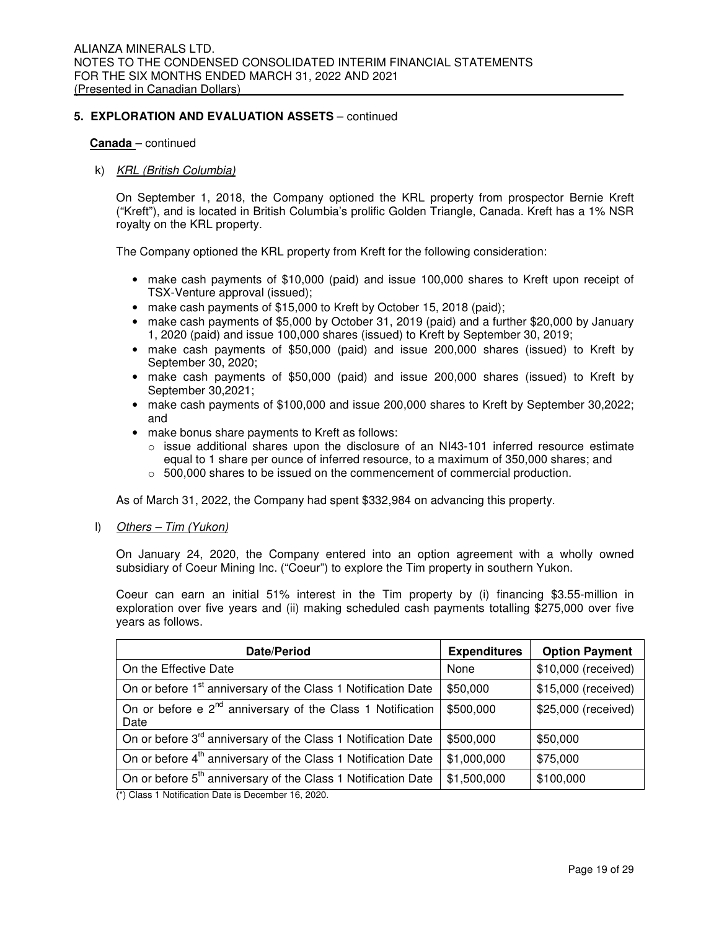#### **Canada** – continued

#### k) KRL (British Columbia)

On September 1, 2018, the Company optioned the KRL property from prospector Bernie Kreft ("Kreft"), and is located in British Columbia's prolific Golden Triangle, Canada. Kreft has a 1% NSR royalty on the KRL property.

The Company optioned the KRL property from Kreft for the following consideration:

- make cash payments of \$10,000 (paid) and issue 100,000 shares to Kreft upon receipt of TSX-Venture approval (issued);
- make cash payments of \$15,000 to Kreft by October 15, 2018 (paid);
- make cash payments of \$5,000 by October 31, 2019 (paid) and a further \$20,000 by January 1, 2020 (paid) and issue 100,000 shares (issued) to Kreft by September 30, 2019;
- make cash payments of \$50,000 (paid) and issue 200,000 shares (issued) to Kreft by September 30, 2020;
- make cash payments of \$50,000 (paid) and issue 200,000 shares (issued) to Kreft by September 30,2021;
- make cash payments of \$100,000 and issue 200,000 shares to Kreft by September 30,2022; and
- make bonus share payments to Kreft as follows:
	- $\circ$  issue additional shares upon the disclosure of an NI43-101 inferred resource estimate equal to 1 share per ounce of inferred resource, to a maximum of 350,000 shares; and
	- $\circ$  500,000 shares to be issued on the commencement of commercial production.

As of March 31, 2022, the Company had spent \$332,984 on advancing this property.

l) Others – Tim (Yukon)

On January 24, 2020, the Company entered into an option agreement with a wholly owned subsidiary of Coeur Mining Inc. ("Coeur") to explore the Tim property in southern Yukon.

Coeur can earn an initial 51% interest in the Tim property by (i) financing \$3.55-million in exploration over five years and (ii) making scheduled cash payments totalling \$275,000 over five years as follows.

| Date/Period                                                                    | <b>Expenditures</b> | <b>Option Payment</b> |
|--------------------------------------------------------------------------------|---------------------|-----------------------|
| On the Effective Date                                                          | None                | \$10,000 (received)   |
| On or before 1 <sup>st</sup> anniversary of the Class 1 Notification Date      | \$50,000            | \$15,000 (received)   |
| On or before e 2 <sup>nd</sup> anniversary of the Class 1 Notification<br>Date | \$500,000           | \$25,000 (received)   |
| On or before 3 <sup>rd</sup> anniversary of the Class 1 Notification Date      | \$500,000           | \$50,000              |
| On or before 4 <sup>th</sup> anniversary of the Class 1 Notification Date      | \$1,000,000         | \$75,000              |
| On or before 5 <sup>th</sup> anniversary of the Class 1 Notification Date      | \$1,500,000         | \$100,000             |
| (*) Class 1 Notification Date is December 16, 2020.                            |                     |                       |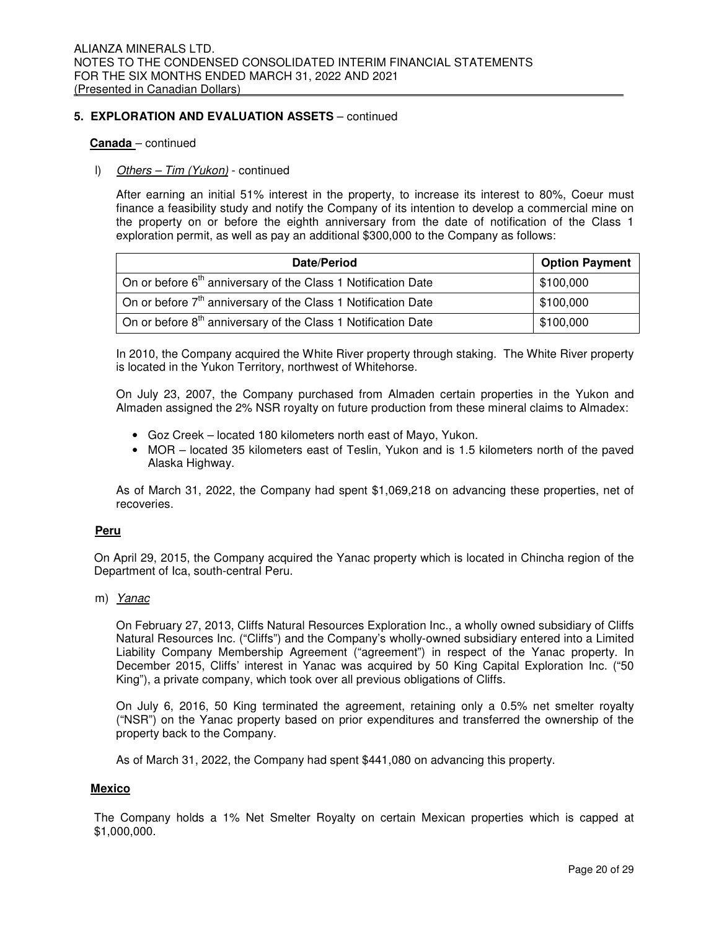#### **Canada** – continued

## l) Others - Tim (Yukon) - continued

After earning an initial 51% interest in the property, to increase its interest to 80%, Coeur must finance a feasibility study and notify the Company of its intention to develop a commercial mine on the property on or before the eighth anniversary from the date of notification of the Class 1 exploration permit, as well as pay an additional \$300,000 to the Company as follows:

| Date/Period                                                                        | <b>Option Payment</b> |
|------------------------------------------------------------------------------------|-----------------------|
| On or before 6 <sup>th</sup> anniversary of the Class 1 Notification Date          | \$100,000             |
| On or before $7th$ anniversary of the Class 1 Notification Date                    | \$100,000             |
| $\alpha$ On or before 8 <sup>th</sup> anniversary of the Class 1 Notification Date | \$100,000             |

In 2010, the Company acquired the White River property through staking. The White River property is located in the Yukon Territory, northwest of Whitehorse.

On July 23, 2007, the Company purchased from Almaden certain properties in the Yukon and Almaden assigned the 2% NSR royalty on future production from these mineral claims to Almadex:

- Goz Creek located 180 kilometers north east of Mayo, Yukon.
- MOR located 35 kilometers east of Teslin, Yukon and is 1.5 kilometers north of the paved Alaska Highway.

As of March 31, 2022, the Company had spent \$1,069,218 on advancing these properties, net of recoveries.

#### **Peru**

On April 29, 2015, the Company acquired the Yanac property which is located in Chincha region of the Department of Ica, south-central Peru.

#### m) Yanac

On February 27, 2013, Cliffs Natural Resources Exploration Inc., a wholly owned subsidiary of Cliffs Natural Resources Inc. ("Cliffs") and the Company's wholly-owned subsidiary entered into a Limited Liability Company Membership Agreement ("agreement") in respect of the Yanac property. In December 2015, Cliffs' interest in Yanac was acquired by 50 King Capital Exploration Inc. ("50 King"), a private company, which took over all previous obligations of Cliffs.

On July 6, 2016, 50 King terminated the agreement, retaining only a 0.5% net smelter royalty ("NSR") on the Yanac property based on prior expenditures and transferred the ownership of the property back to the Company.

As of March 31, 2022, the Company had spent \$441,080 on advancing this property.

#### **Mexico**

The Company holds a 1% Net Smelter Royalty on certain Mexican properties which is capped at \$1,000,000.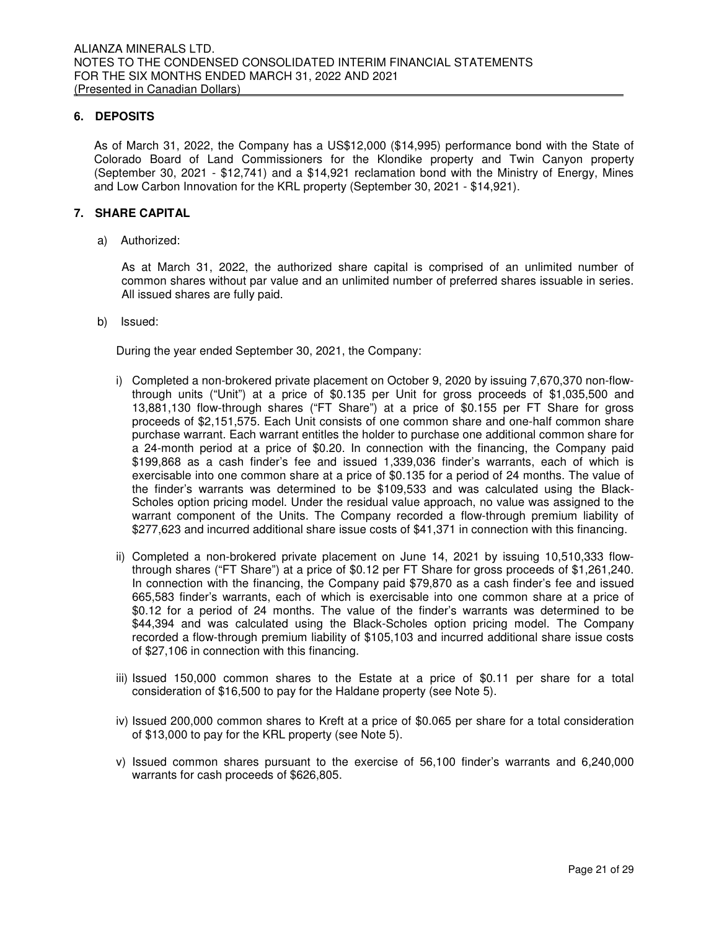## **6. DEPOSITS**

As of March 31, 2022, the Company has a US\$12,000 (\$14,995) performance bond with the State of Colorado Board of Land Commissioners for the Klondike property and Twin Canyon property (September 30, 2021 - \$12,741) and a \$14,921 reclamation bond with the Ministry of Energy, Mines and Low Carbon Innovation for the KRL property (September 30, 2021 - \$14,921).

## **7. SHARE CAPITAL**

a) Authorized:

As at March 31, 2022, the authorized share capital is comprised of an unlimited number of common shares without par value and an unlimited number of preferred shares issuable in series. All issued shares are fully paid.

b) Issued:

During the year ended September 30, 2021, the Company:

- i) Completed a non-brokered private placement on October 9, 2020 by issuing 7,670,370 non-flowthrough units ("Unit") at a price of \$0.135 per Unit for gross proceeds of \$1,035,500 and 13,881,130 flow-through shares ("FT Share") at a price of \$0.155 per FT Share for gross proceeds of \$2,151,575. Each Unit consists of one common share and one-half common share purchase warrant. Each warrant entitles the holder to purchase one additional common share for a 24-month period at a price of \$0.20. In connection with the financing, the Company paid \$199,868 as a cash finder's fee and issued 1,339,036 finder's warrants, each of which is exercisable into one common share at a price of \$0.135 for a period of 24 months. The value of the finder's warrants was determined to be \$109,533 and was calculated using the Black-Scholes option pricing model. Under the residual value approach, no value was assigned to the warrant component of the Units. The Company recorded a flow-through premium liability of \$277,623 and incurred additional share issue costs of \$41,371 in connection with this financing.
- ii) Completed a non-brokered private placement on June 14, 2021 by issuing 10,510,333 flowthrough shares ("FT Share") at a price of \$0.12 per FT Share for gross proceeds of \$1,261,240. In connection with the financing, the Company paid \$79,870 as a cash finder's fee and issued 665,583 finder's warrants, each of which is exercisable into one common share at a price of \$0.12 for a period of 24 months. The value of the finder's warrants was determined to be \$44,394 and was calculated using the Black-Scholes option pricing model. The Company recorded a flow-through premium liability of \$105,103 and incurred additional share issue costs of \$27,106 in connection with this financing.
- iii) Issued 150,000 common shares to the Estate at a price of \$0.11 per share for a total consideration of \$16,500 to pay for the Haldane property (see Note 5).
- iv) Issued 200,000 common shares to Kreft at a price of \$0.065 per share for a total consideration of \$13,000 to pay for the KRL property (see Note 5).
- v) Issued common shares pursuant to the exercise of 56,100 finder's warrants and 6,240,000 warrants for cash proceeds of \$626,805.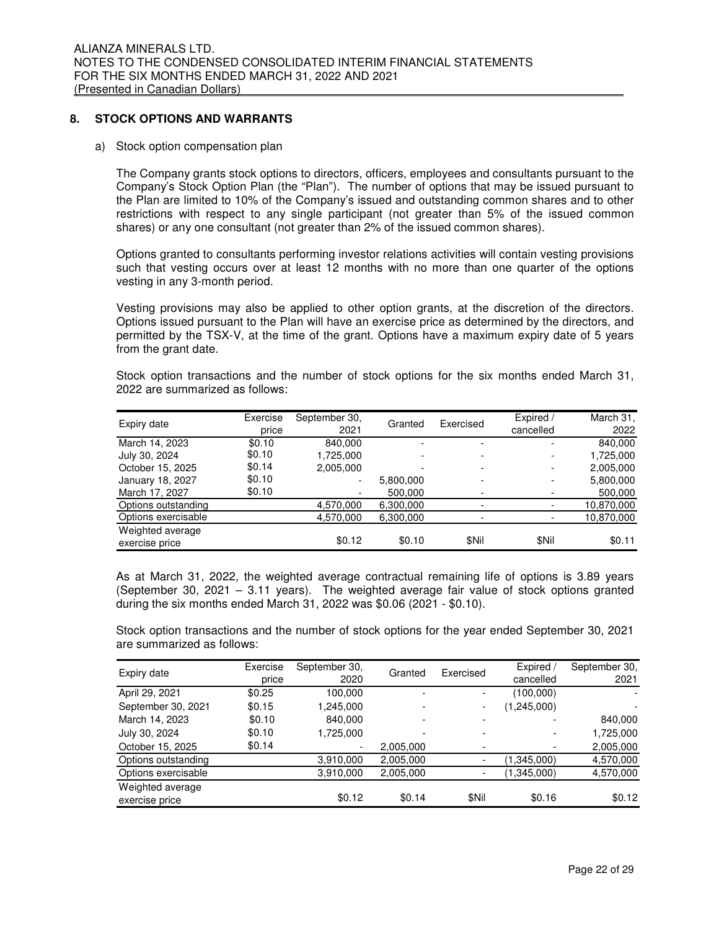## **8. STOCK OPTIONS AND WARRANTS**

a) Stock option compensation plan

The Company grants stock options to directors, officers, employees and consultants pursuant to the Company's Stock Option Plan (the "Plan"). The number of options that may be issued pursuant to the Plan are limited to 10% of the Company's issued and outstanding common shares and to other restrictions with respect to any single participant (not greater than 5% of the issued common shares) or any one consultant (not greater than 2% of the issued common shares).

Options granted to consultants performing investor relations activities will contain vesting provisions such that vesting occurs over at least 12 months with no more than one quarter of the options vesting in any 3-month period.

Vesting provisions may also be applied to other option grants, at the discretion of the directors. Options issued pursuant to the Plan will have an exercise price as determined by the directors, and permitted by the TSX-V, at the time of the grant. Options have a maximum expiry date of 5 years from the grant date.

Stock option transactions and the number of stock options for the six months ended March 31, 2022 are summarized as follows:

| Expiry date         | Exercise | September 30, | Granted   | Exercised                | Expired /                | March 31,  |
|---------------------|----------|---------------|-----------|--------------------------|--------------------------|------------|
|                     | price    | 2021          |           |                          | cancelled                | 2022       |
| March 14, 2023      | \$0.10   | 840.000       |           | -                        | -                        | 840,000    |
| July 30, 2024       | \$0.10   | 1,725,000     |           |                          | -                        | 1,725,000  |
| October 15, 2025    | \$0.14   | 2,005,000     |           | $\overline{\phantom{0}}$ | $\overline{\phantom{a}}$ | 2,005,000  |
| January 18, 2027    | \$0.10   |               | 5,800,000 | $\overline{\phantom{0}}$ | -                        | 5,800,000  |
| March 17, 2027      | \$0.10   |               | 500,000   |                          |                          | 500,000    |
| Options outstanding |          | 4,570,000     | 6,300,000 | $\overline{\phantom{0}}$ |                          | 10,870,000 |
| Options exercisable |          | 4,570,000     | 6,300,000 | -                        |                          | 10,870,000 |
| Weighted average    |          |               |           |                          |                          |            |
| exercise price      |          | \$0.12        | \$0.10    | \$Nil                    | \$Nil                    | \$0.11     |

As at March 31, 2022, the weighted average contractual remaining life of options is 3.89 years (September 30, 2021 – 3.11 years). The weighted average fair value of stock options granted during the six months ended March 31, 2022 was \$0.06 (2021 - \$0.10).

Stock option transactions and the number of stock options for the year ended September 30, 2021 are summarized as follows:

| Expiry date         | Exercise<br>price | September 30,<br>2020 | Granted   | Exercised                | Expired /<br>cancelled   | September 30,<br>2021 |
|---------------------|-------------------|-----------------------|-----------|--------------------------|--------------------------|-----------------------|
|                     |                   |                       |           |                          |                          |                       |
| April 29, 2021      | \$0.25            | 100,000               |           | $\overline{\phantom{a}}$ | (100,000)                |                       |
| September 30, 2021  | \$0.15            | 1,245,000             |           | $\overline{\phantom{a}}$ | (1,245,000)              |                       |
| March 14, 2023      | \$0.10            | 840,000               |           |                          |                          | 840,000               |
| July 30, 2024       | \$0.10            | 1,725,000             |           |                          | $\overline{\phantom{0}}$ | 1,725,000             |
| October 15, 2025    | \$0.14            |                       | 2,005,000 |                          |                          | 2,005,000             |
| Options outstanding |                   | 3,910,000             | 2,005,000 | $\overline{\phantom{a}}$ | (1,345,000)              | 4,570,000             |
| Options exercisable |                   | 3,910,000             | 2,005,000 | $\overline{\phantom{a}}$ | (1,345,000)              | 4,570,000             |
| Weighted average    |                   |                       |           |                          |                          |                       |
| exercise price      |                   | \$0.12                | \$0.14    | \$Nil                    | \$0.16                   | \$0.12                |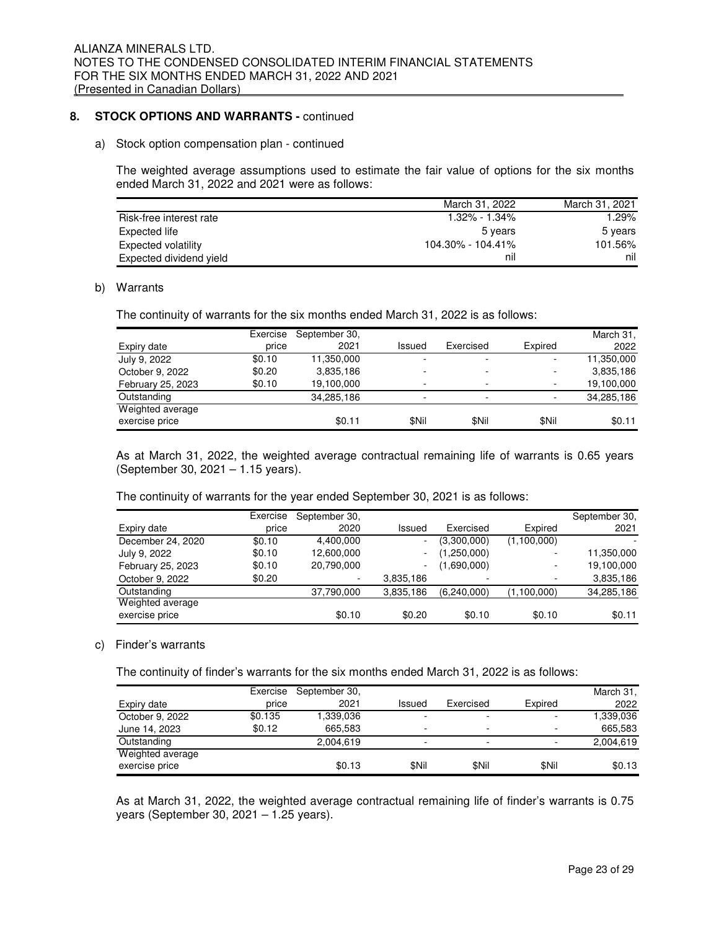## **8. STOCK OPTIONS AND WARRANTS -** continued

#### a) Stock option compensation plan - continued

The weighted average assumptions used to estimate the fair value of options for the six months ended March 31, 2022 and 2021 were as follows:

|                         | March 31, 2022    | March 31, 2021 |
|-------------------------|-------------------|----------------|
| Risk-free interest rate | $1.32\% - 1.34\%$ | 1.29%          |
| Expected life           | 5 vears           | 5 years        |
| Expected volatility     | 104.30% - 104.41% | 101.56%        |
| Expected dividend yield | nil               | nil            |

#### b) Warrants

The continuity of warrants for the six months ended March 31, 2022 is as follows:

|                   | Exercise | September 30. |        |           |         | March 31,  |
|-------------------|----------|---------------|--------|-----------|---------|------------|
| Expiry date       | price    | 2021          | Issued | Exercised | Expired | 2022       |
| July 9, 2022      | \$0.10   | 11,350,000    |        |           |         | 11,350,000 |
| October 9, 2022   | \$0.20   | 3,835,186     |        |           |         | 3,835,186  |
| February 25, 2023 | \$0.10   | 19,100,000    |        |           |         | 19,100,000 |
| Outstanding       |          | 34,285,186    |        |           |         | 34,285,186 |
| Weighted average  |          |               |        |           |         |            |
| exercise price    |          | \$0.11        | \$Nil  | \$Nil     | \$Nil   | \$0.11     |

As at March 31, 2022, the weighted average contractual remaining life of warrants is 0.65 years (September 30, 2021 – 1.15 years).

The continuity of warrants for the year ended September 30, 2021 is as follows:

|                   | Exercise | September 30.            |           |             |             | September 30, |
|-------------------|----------|--------------------------|-----------|-------------|-------------|---------------|
| Expiry date       | price    | 2020                     | Issued    | Exercised   | Expired     | 2021          |
| December 24, 2020 | \$0.10   | 4,400,000                | ۰         | (3,300,000) | (1,100,000) |               |
| July 9, 2022      | \$0.10   | 12,600,000               | ٠         | (1,250,000) |             | 11,350,000    |
| February 25, 2023 | \$0.10   | 20,790,000               | ۰.        | (1,690,000) |             | 19,100,000    |
| October 9, 2022   | \$0.20   | $\overline{\phantom{a}}$ | 3,835,186 | -           |             | 3,835,186     |
| Outstanding       |          | 37,790,000               | 3,835,186 | (6,240,000) | (1,100,000) | 34,285,186    |
| Weighted average  |          |                          |           |             |             |               |
| exercise price    |          | \$0.10                   | \$0.20    | \$0.10      | \$0.10      | \$0.11        |

#### c) Finder's warrants

The continuity of finder's warrants for the six months ended March 31, 2022 is as follows:

|                  | Exercise | September 30, |                          |           |                          | March 31,  |
|------------------|----------|---------------|--------------------------|-----------|--------------------------|------------|
| Expiry date      | price    | 2021          | Issued                   | Exercised | Expired                  | 2022       |
| October 9, 2022  | \$0.135  | 339.036. ا    | $\overline{\phantom{0}}$ | -         | $\overline{\phantom{0}}$ | 880.036. ا |
| June 14, 2023    | \$0.12   | 665.583       |                          | -         | $\overline{\phantom{0}}$ | 665.583    |
| Outstanding      |          | 2,004,619     | $\overline{\phantom{0}}$ | -         | -                        | 2,004,619  |
| Weighted average |          |               |                          |           |                          |            |
| exercise price   |          | \$0.13        | \$Nil                    | \$Nil     | \$Nil                    | \$0.13     |

As at March 31, 2022, the weighted average contractual remaining life of finder's warrants is 0.75 years (September 30, 2021 – 1.25 years).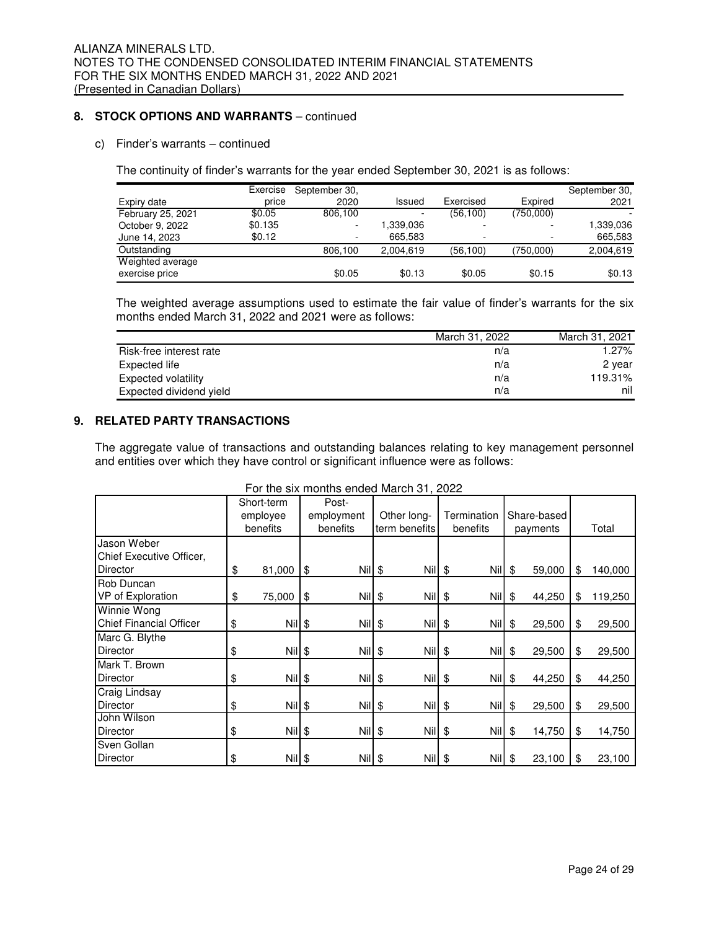## 8. STOCK OPTIONS AND WARRANTS - continued

## c) Finder's warrants – continued

The continuity of finder's warrants for the year ended September 30, 2021 is as follows:

|                   | Exercise | September 30,            |           |           |                          | September 30, |
|-------------------|----------|--------------------------|-----------|-----------|--------------------------|---------------|
| Expiry date       | price    | 2020                     | Issued    | Exercised | Expired                  | 2021          |
| February 25, 2021 | \$0.05   | 806.100                  |           | (56, 100) | (750,000)                |               |
| October 9, 2022   | \$0.135  | $\overline{\phantom{0}}$ | .339.036  |           |                          | 1,339,036     |
| June 14, 2023     | \$0.12   | $\overline{\phantom{a}}$ | 665.583   | ۰         | $\overline{\phantom{0}}$ | 665,583       |
| Outstanding       |          | 806,100                  | 2.004.619 | (56, 100) | (750,000)                | 2,004,619     |
| Weighted average  |          |                          |           |           |                          |               |
| exercise price    |          | \$0.05                   | \$0.13    | \$0.05    | \$0.15                   | \$0.13        |

The weighted average assumptions used to estimate the fair value of finder's warrants for the six months ended March 31, 2022 and 2021 were as follows:

|                         | March 31, 2022 | March 31, 2021 |
|-------------------------|----------------|----------------|
| Risk-free interest rate | n/a            | $1.27\%$       |
| Expected life           | n/a            | 2 year         |
| Expected volatility     | n/a            | 119.31%        |
| Expected dividend yield | n/a            | nil            |

## **9. RELATED PARTY TRANSACTIONS**

The aggregate value of transactions and outstanding balances relating to key management personnel and entities over which they have control or significant influence were as follows:

|                                | Short-term<br>employee |            |               | Post-    |             |               |               |            |             |        |               |
|--------------------------------|------------------------|------------|---------------|----------|-------------|---------------|---------------|------------|-------------|--------|---------------|
|                                |                        |            | employment    |          | Other long- |               | Termination   |            | Share-based |        |               |
|                                |                        | benefits   | benefits      |          |             | term benefits | benefits      |            | payments    |        | Total         |
| Jason Weber                    |                        |            |               |          |             |               |               |            |             |        |               |
| Chief Executive Officer,       |                        |            |               |          |             |               |               |            |             |        |               |
| Director                       | \$                     | 81,000     | \$            | Nil \$   |             | $Nil$ \$      |               | $Nil$ \$   |             | 59,000 | \$<br>140,000 |
| Rob Duncan                     |                        |            |               |          |             |               |               |            |             |        |               |
| VP of Exploration              | \$                     | 75,000     | \$            | $Nil$ \$ |             | <b>Nil</b>    | \$            | $Nil$ \$   |             | 44,250 | \$<br>119,250 |
| Winnie Wong                    |                        |            |               |          |             |               |               |            |             |        |               |
| <b>Chief Financial Officer</b> | \$                     | $Nil$ \$   |               | $Nil$ \$ |             | $Nil$ \$      |               | $Nil$ \$   |             | 29,500 | \$<br>29,500  |
| Marc G. Blythe                 |                        |            |               |          |             |               |               |            |             |        |               |
| Director                       | \$                     | $Nil$ \$   |               | $Nil$ \$ |             | <b>Nil</b>    | \$            | $Nil$ \$   |             | 29,500 | \$<br>29,500  |
| Mark T. Brown                  |                        |            |               |          |             |               |               |            |             |        |               |
| <b>Director</b>                | \$                     | Nill       | \$            | Nil \$   |             | Nil           | \$            | <b>Nil</b> | \$          | 44,250 | \$<br>44,250  |
| Craig Lindsay                  |                        |            |               |          |             |               |               |            |             |        |               |
| <b>Director</b>                | \$                     | <b>Nil</b> | $\frac{1}{2}$ | $Nil$ \$ |             | <b>Nil</b>    | $\frac{1}{2}$ | $Nil$ \$   |             | 29,500 | \$<br>29,500  |
| John Wilson                    |                        |            |               |          |             |               |               |            |             |        |               |
| Director                       | \$                     | Nil \$     |               | $Nil$ \$ |             | $Nil$ \$      |               | $Nil$ \$   |             | 14,750 | \$<br>14,750  |
| Sven Gollan                    |                        |            |               |          |             |               |               |            |             |        |               |
| <b>Director</b>                | \$                     | $Nil$ \$   |               | $Nil$ \$ |             | $Nil$ \$      |               | $Nil$ \$   |             | 23,100 | 23,100        |

For the six months ended March 31, 2022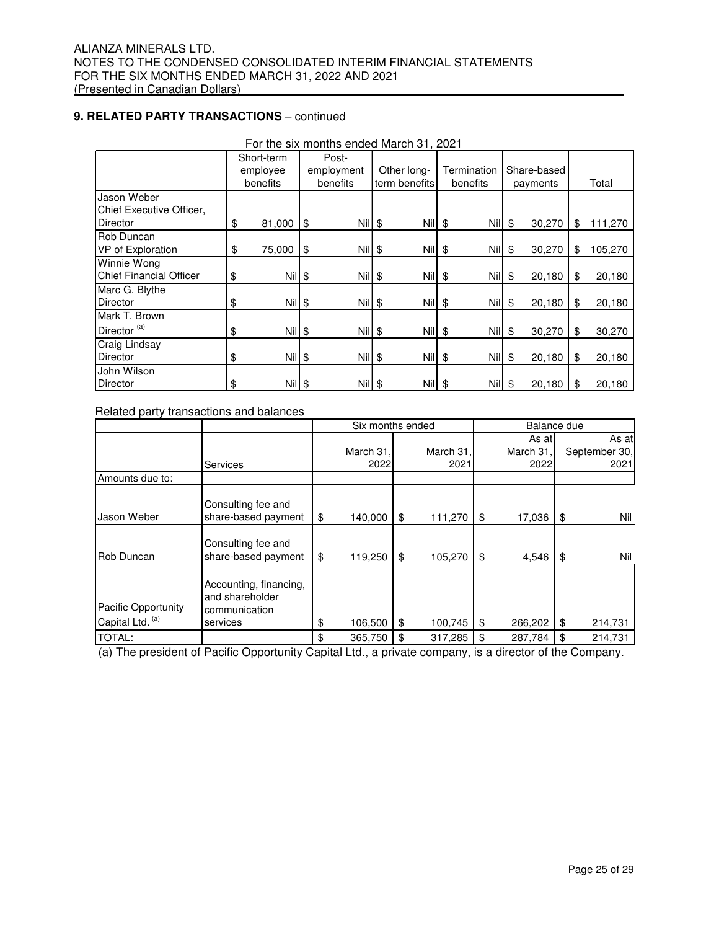## **9. RELATED PARTY TRANSACTIONS** – continued

|                                | Short-term<br>employee |          |            | Post-    |             |               |             |            |             |          |     |         |
|--------------------------------|------------------------|----------|------------|----------|-------------|---------------|-------------|------------|-------------|----------|-----|---------|
|                                |                        |          | employment |          | Other long- |               | Termination |            | Share-based |          |     |         |
|                                |                        | benefits |            | benefits |             | term benefits |             | benefits   |             | payments |     | Total   |
| Jason Weber                    |                        |          |            |          |             |               |             |            |             |          |     |         |
| Chief Executive Officer,       |                        |          |            |          |             |               |             |            |             |          |     |         |
| <b>Director</b>                | \$                     | 81,000   | \$         | $Nil$ \$ |             | Nil \$        |             | $Nii$ \$   |             | 30,270   | \$  | 111,270 |
| Rob Duncan                     |                        |          |            |          |             |               |             |            |             |          |     |         |
| VP of Exploration              | \$                     | 75,000   | \$         | Nil \$   |             | Nil \$        |             | $N  $ \$   |             | 30,270   | \$  | 105,270 |
| <b>Winnie Wong</b>             |                        |          |            |          |             |               |             |            |             |          |     |         |
| <b>Chief Financial Officer</b> | \$                     | $Nil$ \$ |            | $Nil$ \$ |             | Nil \$        |             | $Nil$ \$   |             | 20,180   | -\$ | 20,180  |
| Marc G. Blythe                 |                        |          |            |          |             |               |             |            |             |          |     |         |
| <b>Director</b>                | \$                     | Nil \$   |            | $Nil$ \$ |             | $Nil$ \$      |             | $Nil$ \$   |             | 20,180   | \$  | 20,180  |
| Mark T. Brown                  |                        |          |            |          |             |               |             |            |             |          |     |         |
| Director <sup>(a)</sup>        | \$                     | $Nil$ \$ |            | $Nil$ \$ |             | Nil \$        |             | $Nii$ \$   |             | 30,270   | \$  | 30,270  |
| Craig Lindsay                  |                        |          |            |          |             |               |             |            |             |          |     |         |
| <b>Director</b>                | \$                     | $Nil$ \$ |            | $Nil$ \$ |             | <b>Nil</b>    | \$          | $Nil$ \$   |             | 20,180   | \$  | 20,180  |
| John Wilson                    |                        |          |            |          |             |               |             |            |             |          |     |         |
| <b>Director</b>                | \$                     | Nil \$   |            | $Nil$ \$ |             | <b>Nil</b>    | \$          | <b>Nil</b> | -\$         | 20,180   | -\$ | 20,180  |

For the six months ended March 31, 2021

Related party transactions and balances

|                                         |                                                                        | Six months ended |                   |    | Balance due       |    |                             |    |                                |
|-----------------------------------------|------------------------------------------------------------------------|------------------|-------------------|----|-------------------|----|-----------------------------|----|--------------------------------|
|                                         | Services                                                               |                  | March 31,<br>2022 |    | March 31,<br>2021 |    | As atl<br>March 31,<br>2022 |    | As at<br>September 30,<br>2021 |
| Amounts due to:                         |                                                                        |                  |                   |    |                   |    |                             |    |                                |
| Jason Weber                             | Consulting fee and<br>share-based payment                              | \$               | 140,000           | \$ | 111,270           | \$ | 17,036                      | \$ | Nil                            |
| Rob Duncan                              | Consulting fee and<br>share-based payment                              | \$               | 119,250           | \$ | 105,270           | \$ | 4,546                       | \$ | Nil                            |
| Pacific Opportunity<br>Capital Ltd. (a) | Accounting, financing,<br>and shareholder<br>communication<br>services | \$               | 106,500           | \$ | 100,745           | \$ | 266,202                     | \$ | 214,731                        |
| TOTAL:                                  |                                                                        | \$               | 365,750           | \$ | 317,285           | \$ | 287,784                     | \$ | 214,731                        |

(a) The president of Pacific Opportunity Capital Ltd., a private company, is a director of the Company.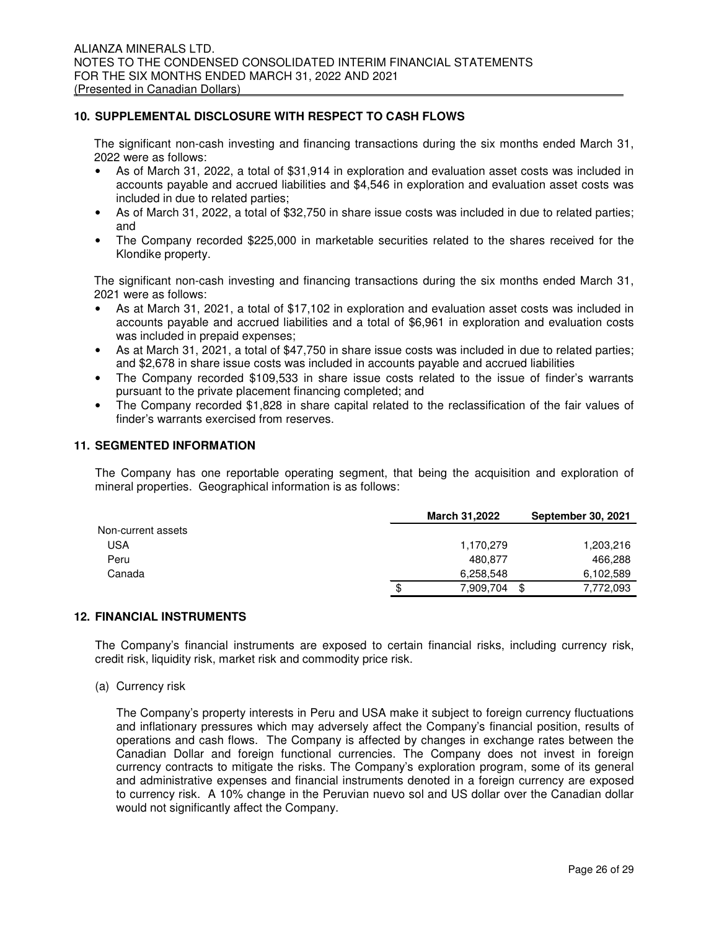## **10. SUPPLEMENTAL DISCLOSURE WITH RESPECT TO CASH FLOWS**

The significant non-cash investing and financing transactions during the six months ended March 31, 2022 were as follows:

- As of March 31, 2022, a total of \$31,914 in exploration and evaluation asset costs was included in accounts payable and accrued liabilities and \$4,546 in exploration and evaluation asset costs was included in due to related parties;
- As of March 31, 2022, a total of \$32,750 in share issue costs was included in due to related parties; and
- The Company recorded \$225,000 in marketable securities related to the shares received for the Klondike property.

The significant non-cash investing and financing transactions during the six months ended March 31, 2021 were as follows:

- As at March 31, 2021, a total of \$17,102 in exploration and evaluation asset costs was included in accounts payable and accrued liabilities and a total of \$6,961 in exploration and evaluation costs was included in prepaid expenses;
- As at March 31, 2021, a total of \$47,750 in share issue costs was included in due to related parties; and \$2,678 in share issue costs was included in accounts payable and accrued liabilities
- The Company recorded \$109,533 in share issue costs related to the issue of finder's warrants pursuant to the private placement financing completed; and
- The Company recorded \$1,828 in share capital related to the reclassification of the fair values of finder's warrants exercised from reserves.

## **11. SEGMENTED INFORMATION**

The Company has one reportable operating segment, that being the acquisition and exploration of mineral properties. Geographical information is as follows:

|                    | <b>March 31,2022</b> | <b>September 30, 2021</b> |
|--------------------|----------------------|---------------------------|
| Non-current assets |                      |                           |
| USA                | 1,170,279            | 1,203,216                 |
| Peru               | 480.877              | 466,288                   |
| Canada             | 6.258.548            | 6,102,589                 |
|                    | 7,909,704<br>\$      | \$<br>7,772,093           |

#### **12. FINANCIAL INSTRUMENTS**

The Company's financial instruments are exposed to certain financial risks, including currency risk, credit risk, liquidity risk, market risk and commodity price risk.

(a) Currency risk

The Company's property interests in Peru and USA make it subject to foreign currency fluctuations and inflationary pressures which may adversely affect the Company's financial position, results of operations and cash flows. The Company is affected by changes in exchange rates between the Canadian Dollar and foreign functional currencies. The Company does not invest in foreign currency contracts to mitigate the risks. The Company's exploration program, some of its general and administrative expenses and financial instruments denoted in a foreign currency are exposed to currency risk. A 10% change in the Peruvian nuevo sol and US dollar over the Canadian dollar would not significantly affect the Company.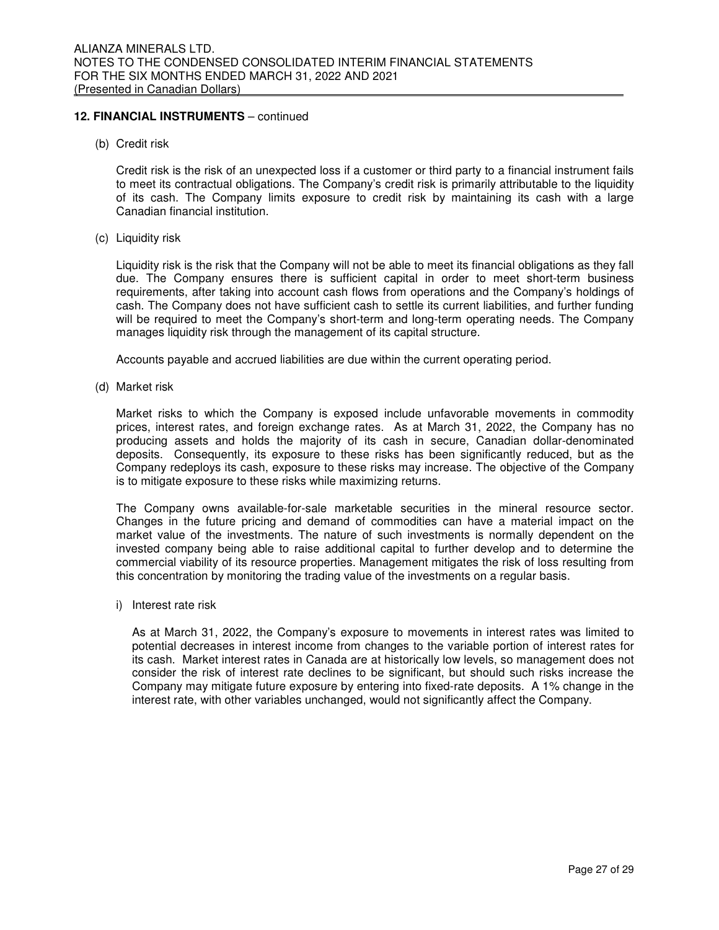## **12. FINANCIAL INSTRUMENTS** – continued

(b) Credit risk

Credit risk is the risk of an unexpected loss if a customer or third party to a financial instrument fails to meet its contractual obligations. The Company's credit risk is primarily attributable to the liquidity of its cash. The Company limits exposure to credit risk by maintaining its cash with a large Canadian financial institution.

(c) Liquidity risk

Liquidity risk is the risk that the Company will not be able to meet its financial obligations as they fall due. The Company ensures there is sufficient capital in order to meet short-term business requirements, after taking into account cash flows from operations and the Company's holdings of cash. The Company does not have sufficient cash to settle its current liabilities, and further funding will be required to meet the Company's short-term and long-term operating needs. The Company manages liquidity risk through the management of its capital structure.

Accounts payable and accrued liabilities are due within the current operating period.

(d) Market risk

Market risks to which the Company is exposed include unfavorable movements in commodity prices, interest rates, and foreign exchange rates. As at March 31, 2022, the Company has no producing assets and holds the majority of its cash in secure, Canadian dollar-denominated deposits. Consequently, its exposure to these risks has been significantly reduced, but as the Company redeploys its cash, exposure to these risks may increase. The objective of the Company is to mitigate exposure to these risks while maximizing returns.

The Company owns available-for-sale marketable securities in the mineral resource sector. Changes in the future pricing and demand of commodities can have a material impact on the market value of the investments. The nature of such investments is normally dependent on the invested company being able to raise additional capital to further develop and to determine the commercial viability of its resource properties. Management mitigates the risk of loss resulting from this concentration by monitoring the trading value of the investments on a regular basis.

i) Interest rate risk

As at March 31, 2022, the Company's exposure to movements in interest rates was limited to potential decreases in interest income from changes to the variable portion of interest rates for its cash. Market interest rates in Canada are at historically low levels, so management does not consider the risk of interest rate declines to be significant, but should such risks increase the Company may mitigate future exposure by entering into fixed-rate deposits. A 1% change in the interest rate, with other variables unchanged, would not significantly affect the Company.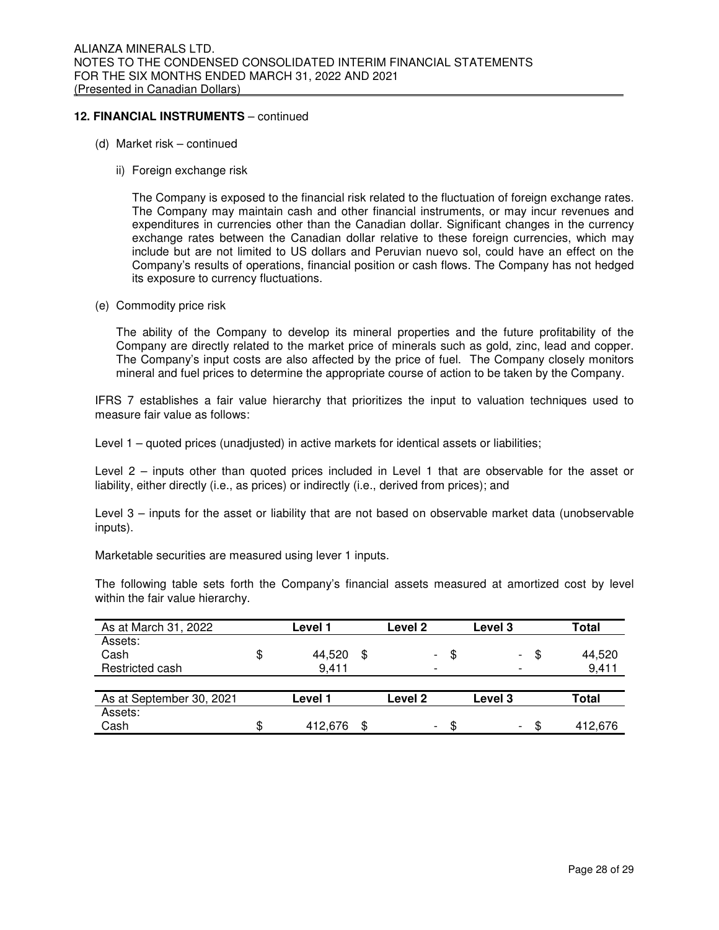## **12. FINANCIAL INSTRUMENTS** – continued

- (d) Market risk continued
	- ii) Foreign exchange risk

The Company is exposed to the financial risk related to the fluctuation of foreign exchange rates. The Company may maintain cash and other financial instruments, or may incur revenues and expenditures in currencies other than the Canadian dollar. Significant changes in the currency exchange rates between the Canadian dollar relative to these foreign currencies, which may include but are not limited to US dollars and Peruvian nuevo sol, could have an effect on the Company's results of operations, financial position or cash flows. The Company has not hedged its exposure to currency fluctuations.

(e) Commodity price risk

 The ability of the Company to develop its mineral properties and the future profitability of the Company are directly related to the market price of minerals such as gold, zinc, lead and copper. The Company's input costs are also affected by the price of fuel. The Company closely monitors mineral and fuel prices to determine the appropriate course of action to be taken by the Company.

IFRS 7 establishes a fair value hierarchy that prioritizes the input to valuation techniques used to measure fair value as follows:

Level 1 – quoted prices (unadjusted) in active markets for identical assets or liabilities;

Level 2 – inputs other than quoted prices included in Level 1 that are observable for the asset or liability, either directly (i.e., as prices) or indirectly (i.e., derived from prices); and

Level 3 – inputs for the asset or liability that are not based on observable market data (unobservable inputs).

Marketable securities are measured using lever 1 inputs.

The following table sets forth the Company's financial assets measured at amortized cost by level within the fair value hierarchy.

| As at March 31, 2022     | Level 1 | Level 2                        |    | Level 3                        | Total   |
|--------------------------|---------|--------------------------------|----|--------------------------------|---------|
| Assets:                  |         |                                |    |                                |         |
| Cash                     | 44,520  | \$<br>$\overline{\phantom{a}}$ | \$ | \$<br>$\overline{\phantom{0}}$ | 44,520  |
| Restricted cash          | 9,411   | -                              |    |                                | 9,411   |
|                          |         |                                |    |                                |         |
| As at September 30, 2021 | Level 1 | Level 2                        |    | Level 3                        | Total   |
| Assets:                  |         |                                |    |                                |         |
| Cash                     | 412,676 | Ξ.                             | S  | \$.<br>-                       | 412.676 |